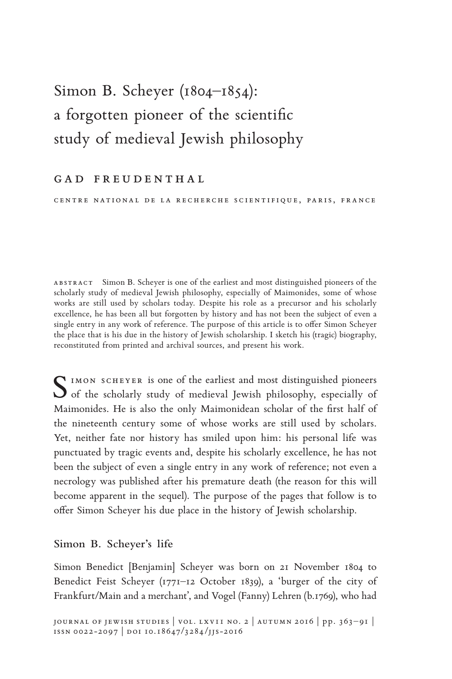# Simon B. Scheyer (1804–1854): a forgotten pioneer of the scientific study of medieval Jewish philosophy

### GAD FREUDENTHAL

CENTRE NATIONAL DE LA RECHERCHE SCIENTIFIQUE, PARIS, FRANCE

abstrac t Simon B. Scheyer is one of the earliest and most distinguished pioneers of the scholarly study of medieval Jewish philosophy, especially of Maimonides, some of whose works are still used by scholars today. Despite his role as a precursor and his scholarly excellence, he has been all but forgotten by history and has not been the subject of even a single entry in any work of reference. The purpose of this article is to offer Simon Scheyer the place that is his due in the history of Jewish scholarship. I sketch his (tragic) biography, reconstituted from printed and archival sources, and present his work.

SIMON SCHEYER is one of the earliest and most distinguished pioneers<br>of the scholarly study of medieval Jewish philosophy, especially of Maimonides. He is also the only Maimonidean scholar of the first half of the nineteenth century some of whose works are still used by scholars. Yet, neither fate nor history has smiled upon him: his personal life was punctuated by tragic events and, despite his scholarly excellence, he has not been the subject of even a single entry in any work of reference; not even a necrology was published after his premature death (the reason for this will become apparent in the sequel). The purpose of the pages that follow is to offer Simon Scheyer his due place in the history of Jewish scholarship.

#### **Simon B. Scheyer's life**

Simon Benedict [Benjamin] Scheyer was born on 21 November 1804 to Benedict Feist Scheyer (1771–12 October 1839), a 'burger of the city of Frankfurt/Main and a merchant', and Vogel (Fanny) Lehren (b.1769), who had

journal of jewish studies | vol. lxv11 no. 2 | autumn 2016 | pp. 363– 91 | ISSN 0022-2097 | DOI 10.18647/3284/JJS-2016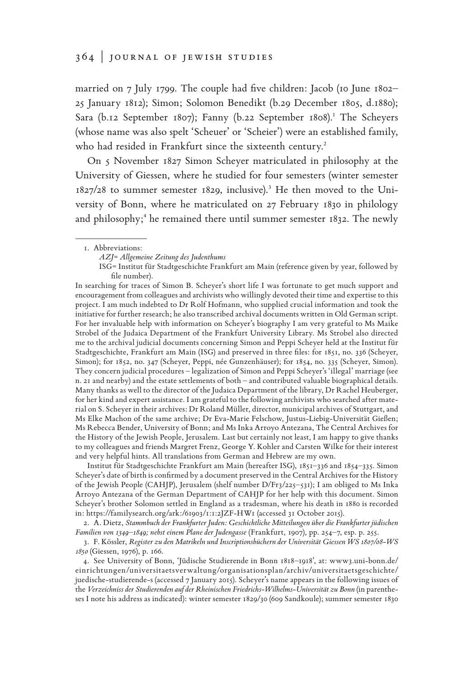married on 7 July 1799. The couple had five children: Jacob (10 June 1802– 25 January 1812); Simon; Solomon Benedikt (b.29 December 1805, d.1880); Sara (b.12 September 1807); Fanny (b.22 September 1808).**<sup>1</sup>** The Scheyers (whose name was also spelt 'Scheuer' or 'Scheier') were an established family, who had resided in Frankfurt since the sixteenth century.**<sup>2</sup>**

On 5 November 1827 Simon Scheyer matriculated in philosophy at the University of Giessen, where he studied for four semesters (winter semester 1827/28 to summer semester 1829, inclusive).**<sup>3</sup>** He then moved to the University of Bonn, where he matriculated on 27 February 1830 in philology and philosophy;<sup>4</sup> he remained there until summer semester 1832. The newly

In searching for traces of Simon B. Scheyer's short life I was fortunate to get much support and encouragement from colleagues and archivists who willingly devoted their time and expertise to this project. I am much indebted to Dr Rolf Hofmann, who supplied crucial information and took the initiative for further research; he also transcribed archival documents written in Old German script. For her invaluable help with information on Scheyer's biography I am very grateful to Ms Maike Strobel of the Judaica Department of the Frankfurt University Library. Ms Strobel also directed me to the archival judicial documents concerning Simon and Peppi Scheyer held at the Institut für Stadtgeschichte, Frankfurt am Main (ISG) and preserved in three files: for 1851, no. 336 (Scheyer, Simon); for 1852, no. 347 (Scheyer, Peppi, née Gunzenhäuser); for 1854, no. 335 (Scheyer, Simon). They concern judicial procedures – legalization of Simon and Peppi Scheyer's 'illegal' marriage (see n. 21 and nearby) and the estate settlements of both – and contributed valuable biographical details. Many thanks as well to the director of the Judaica Department of the library, Dr Rachel Heuberger, for her kind and expert assistance. I am grateful to the following archivists who searched after material on S. Scheyer in their archives: Dr Roland Müller, director, municipal archives of Stuttgart, and Ms Elke Machon of the same archive; Dr Eva-Marie Felschow, Justus-Liebig-Universität Gießen; Ms Rebecca Bender, University of Bonn; and Ms Inka Arroyo Antezana, The Central Archives for the History of the Jewish People, Jerusalem. Last but certainly not least, I am happy to give thanks to my colleagues and friends Margret Frenz, George Y. Kohler and Carsten Wilke for their interest and very helpful hints. All translations from German and Hebrew are my own.

Institut für Stadtgeschichte Frankfurt am Main (hereafter ISG), 1851–336 and 1854–335. Simon Scheyer's date of birth is confirmed by a document preserved in the Central Archives for the History of the Jewish People (CAHJP), Jerusalem (shelf number D/Fr3/225–531); I am obliged to Ms Inka Arroyo Antezana of the German Department of CAHJP for her help with this document. Simon Scheyer's brother Solomon settled in England as a tradesman, where his death in 1880 is recorded in: https://familysearch.org/ark:/61903/1:1:2JZF-HW1 (accessed 31 October 2015).

2. A. Dietz, *Stammbuch der Frankfurter Juden: Geschichtliche Mitteilungen über die Frankfurter jüdischen Familien von 1349–1849; nebst einem Plane der Judengasse* (Frankfurt, 1907), pp. 254–7, esp. p. 255.

3. F. Kössler, *Register zu den Matrikeln und Inscriptionsbüchern der Universität Giessen WS 1807/08-WS 1850* (Giessen, 1976), p. 166.

4. See University of Bonn, 'Jüdische Studierende in Bonn 1818–1918', at: www3.uni-bonn.de/ einrichtungen/universitaetsverwaltung/organisationsplan/archiv/universitaetsgeschichte/ juedische-studierende-s (accessed 7 January 2015). Scheyer's name appears in the following issues of the *Verzeichniss der Studierenden auf der Rheinischen Friedrichs-Wilhelms-Universität zu Bonn* (in parentheses I note his address as indicated): winter semester 1829/30 (609 Sandkoule); summer semester 1830

<sup>1.</sup> Abbreviations:

*AZJ*= *Allgemeine Zeitung des Judenthums*

ISG= Institut für Stadtgeschichte Frankfurt am Main (reference given by year, followed by file number).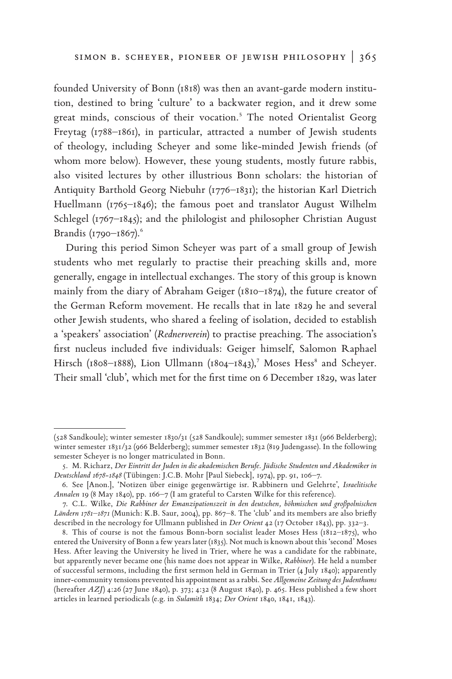founded University of Bonn (1818) was then an avant-garde modern institution, destined to bring 'culture' to a backwater region, and it drew some great minds, conscious of their vocation.**<sup>5</sup>** The noted Orientalist Georg Freytag (1788–1861), in particular, attracted a number of Jewish students of theology, including Scheyer and some like-minded Jewish friends (of whom more below). However, these young students, mostly future rabbis, also visited lectures by other illustrious Bonn scholars: the historian of Antiquity Barthold Georg Niebuhr (1776–1831); the historian Karl Dietrich Huellmann (1765–1846); the famous poet and translator August Wilhelm Schlegel (1767–1845); and the philologist and philosopher Christian August Brandis (1790–1867).**<sup>6</sup>**

During this period Simon Scheyer was part of a small group of Jewish students who met regularly to practise their preaching skills and, more generally, engage in intellectual exchanges. The story of this group is known mainly from the diary of Abraham Geiger (1810–1874), the future creator of the German Reform movement. He recalls that in late 1829 he and several other Jewish students, who shared a feeling of isolation, decided to establish a 'speakers' association' (*Rednerverein*) to practise preaching. The association's first nucleus included five individuals: Geiger himself, Salomon Raphael Hirsch (1808–1888), Lion Ullmann (1804–1843),**<sup>7</sup>** Moses Hess**<sup>8</sup>** and Scheyer. Their small 'club', which met for the first time on 6 December 1829, was later

<sup>(528</sup> Sandkoule); winter semester 1830/31 (528 Sandkoule); summer semester 1831 (966 Belderberg); winter semester 1831/32 (966 Belderberg); summer semester 1832 (819 Judengasse). In the following semester Scheyer is no longer matriculated in Bonn.

<sup>5.</sup> M. Richarz, *Der Eintritt der Juden in die akademischen Berufe*. *Jüdische Studenten und Akademiker in Deutschland 1678-1848* (Tübingen: J.C.B. Mohr [Paul Siebeck], 1974), pp. 91, 106–7.

<sup>6.</sup> See [Anon.], 'Notizen über einige gegenwärtige isr. Rabbinern und Gelehrte', *Israelitische Annalen* 19 (8 May 1840), pp. 166–7 (I am grateful to Carsten Wilke for this reference).

<sup>7.</sup> C.L. Wilke, *Die Rabbiner der Emanzipationszeit in den deutschen, böhmischen und großpolnischen Ländern 1781–1871* (Munich: K.B. Saur, 2004), pp. 867–8. The 'club' and its members are also briefly described in the necrology for Ullmann published in *Der Orient* 42 (17 October 1843), pp. 332–3.

<sup>8.</sup> This of course is not the famous Bonn-born socialist leader Moses Hess (1812–1875), who entered the University of Bonn a few years later (1835). Not much is known about this 'second' Moses Hess. After leaving the University he lived in Trier, where he was a candidate for the rabbinate, but apparently never became one (his name does not appear in Wilke, *Rabbiner*). He held a number of successful sermons, including the first sermon held in German in Trier (4 July 1840); apparently inner-community tensions prevented his appointment as a rabbi. See *Allgemeine Zeitung des Judenthums* (hereafter *AZJ*) 4:26 (27 June 1840), p. 373; 4:32 (8 August 1840), p. 465. Hess published a few short articles in learned periodicals (e.g. in *Sulamith* 1834; *Der Orient* 1840, 1841, 1843).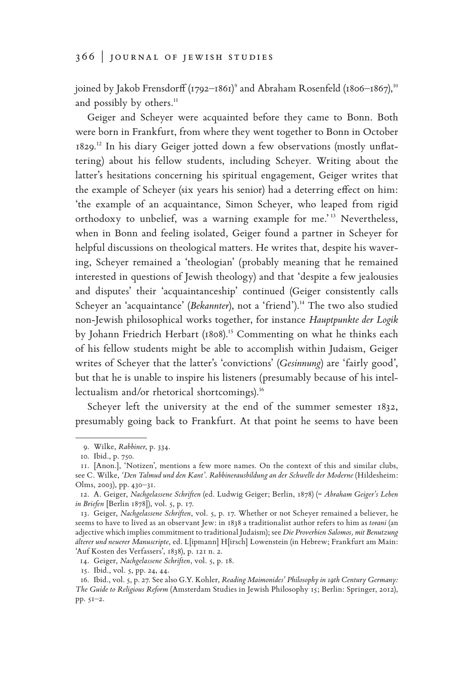joined by Jakob Frensdorff (1792–1861)**<sup>9</sup>** and Abraham Rosenfeld (1806–1867),**<sup>10</sup>** and possibly by others.**<sup>11</sup>**

Geiger and Scheyer were acquainted before they came to Bonn. Both were born in Frankfurt, from where they went together to Bonn in October 1829.**12** In his diary Geiger jotted down a few observations (mostly unflattering) about his fellow students, including Scheyer. Writing about the latter's hesitations concerning his spiritual engagement, Geiger writes that the example of Scheyer (six years his senior) had a deterring effect on him: 'the example of an acquaintance, Simon Scheyer, who leaped from rigid orthodoxy to unbelief, was a warning example for me.' **<sup>13</sup>** Nevertheless, when in Bonn and feeling isolated, Geiger found a partner in Scheyer for helpful discussions on theological matters. He writes that, despite his wavering, Scheyer remained a 'theologian' (probably meaning that he remained interested in questions of Jewish theology) and that 'despite a few jealousies and disputes' their 'acquaintanceship' continued (Geiger consistently calls Scheyer an 'acquaintance' (*Bekannter*), not a 'friend').**14** The two also studied non-Jewish philosophical works together, for instance *Hauptpunkte der Logik*  by Johann Friedrich Herbart (1808).**15** Commenting on what he thinks each of his fellow students might be able to accomplish within Judaism, Geiger writes of Scheyer that the latter's 'convictions' (*Gesinnung*) are 'fairly good', but that he is unable to inspire his listeners (presumably because of his intellectualism and/or rhetorical shortcomings).**<sup>16</sup>**

Scheyer left the university at the end of the summer semester 1832, presumably going back to Frankfurt. At that point he seems to have been

14. Geiger, *Nachgelassene Schriften*, vol. 5, p. 18.

15. Ibid., vol. 5, pp. 24, 44.

<sup>9.</sup> Wilke, *Rabbiner*, p. 334.

<sup>10.</sup> Ibid., p. 750.

<sup>11.</sup> [Anon.], 'Notizen', mentions a few more names. On the context of this and similar clubs, see C. Wilke, *'Den Talmud und den Kant'*. *Rabbinerausbildung an der Schwelle der Moderne* (Hildesheim: Olms, 2003), pp. 430–31.

<sup>12.</sup> A. Geiger, *Nachgelassene Schriften* (ed. Ludwig Geiger; Berlin, 1878) (= *Abraham Geiger's Leben in Briefen* [Berlin 1878]), vol. 5, p. 17.

<sup>13.</sup> Geiger, *Nachgelassene Schriften*, vol. 5, p. 17. Whether or not Scheyer remained a believer, he seems to have to lived as an observant Jew: in 1838 a traditionalist author refers to him as *torani* (an adjective which implies commitment to traditional Judaism); see *Die Proverbien Salomos, mit Benutzung älterer und neuerer Manuscripte*, ed. L[ipmann] H[irsch] Lowenstein (in Hebrew; Frankfurt am Main: 'Auf Kosten des Verfassers', 1838), p. 121 n. 2.

<sup>16.</sup> Ibid., vol. 5, p. 27. See also G.Y. Kohler, *Reading Maimonides' Philosophy in 19th Century Germany: The Guide to Religious Reform* (Amsterdam Studies in Jewish Philosophy 15; Berlin: Springer, 2012), pp. 51–2.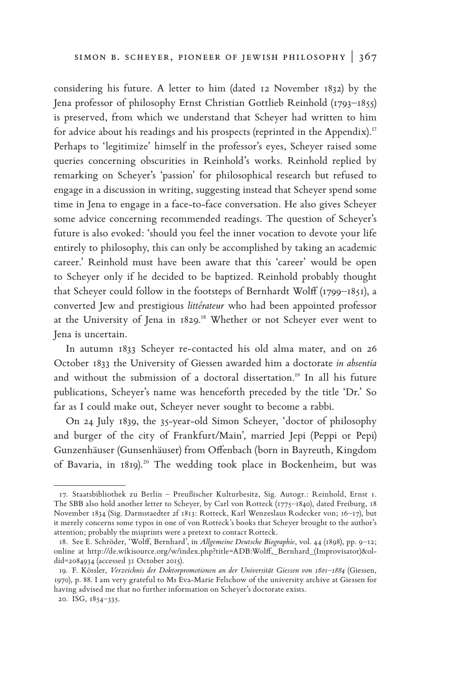considering his future. A letter to him (dated 12 November 1832) by the Jena professor of philosophy Ernst Christian Gottlieb Reinhold (1793–1855) is preserved, from which we understand that Scheyer had written to him for advice about his readings and his prospects (reprinted in the Appendix).**<sup>17</sup>** Perhaps to 'legitimize' himself in the professor's eyes, Scheyer raised some queries concerning obscurities in Reinhold's works. Reinhold replied by remarking on Scheyer's 'passion' for philosophical research but refused to engage in a discussion in writing, suggesting instead that Scheyer spend some time in Jena to engage in a face-to-face conversation. He also gives Scheyer some advice concerning recommended readings. The question of Scheyer's future is also evoked: 'should you feel the inner vocation to devote your life entirely to philosophy, this can only be accomplished by taking an academic career.' Reinhold must have been aware that this 'career' would be open to Scheyer only if he decided to be baptized. Reinhold probably thought that Scheyer could follow in the footsteps of Bernhardt Wolff (1799–1851), a converted Jew and prestigious *littérateur* who had been appointed professor at the University of Jena in 1829.**18** Whether or not Scheyer ever went to Jena is uncertain.

In autumn 1833 Scheyer re-contacted his old alma mater, and on 26 October 1833 the University of Giessen awarded him a doctorate *in absentia* and without the submission of a doctoral dissertation.**19** In all his future publications, Scheyer's name was henceforth preceded by the title 'Dr.' So far as I could make out, Scheyer never sought to become a rabbi.

On 24 July 1839, the 35-year-old Simon Scheyer, 'doctor of philosophy and burger of the city of Frankfurt/Main', married Jepi (Peppi or Pepi) Gunzenhäuser (Gunsenhäuser) from Offenbach (born in Bayreuth, Kingdom of Bavaria, in 1819).**20** The wedding took place in Bockenheim, but was

<sup>17.</sup> Staatsbibliothek zu Berlin – Preußischer Kulturbesitz, Sig. Autogr.: Reinhold, Ernst 1. The SBB also hold another letter to Scheyer, by Carl von Rotteck (1775–1840), dated Freiburg, 18 November 1834 (Sig. Darmstaedter 2f 1813: Rotteck, Karl Wenzeslaus Rodecker von; 16–17), but it merely concerns some typos in one of von Rotteck's books that Scheyer brought to the author's attention; probably the misprints were a pretext to contact Rotteck.

<sup>18.</sup> See E. Schröder, 'Wolff, Bernhard', in *Allgemeine Deutsche Biographie*, vol. 44 (1898), pp. 9–12; online at http://de.wikisource.org/w/index.php?title=ADB:Wolff,\_Bernhard\_(Improvisator)&oldid=2084934 (accessed 31 October 2015).

<sup>19.</sup> F. Kössler, *Verzeichnis der Doktorpromotionen an der Universität Giessen von 1801–1884* (Giessen, 1970), p. 88. I am very grateful to Ms Eva-Marie Felschow of the university archive at Giessen for having advised me that no further information on Scheyer's doctorate exists.

<sup>20.</sup> ISG, 1854–335.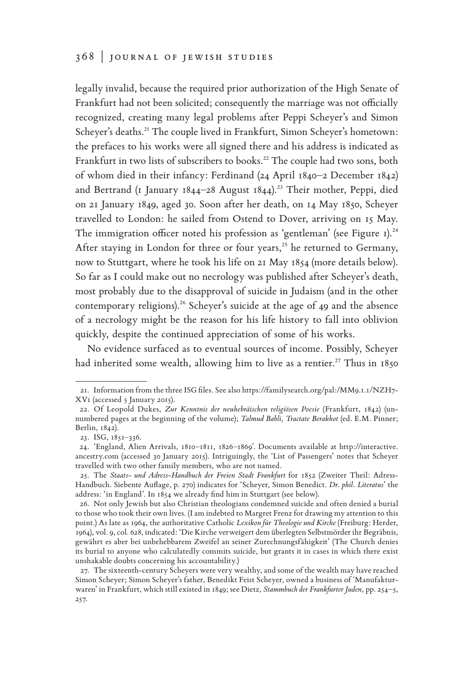legally invalid, because the required prior authorization of the High Senate of Frankfurt had not been solicited; consequently the marriage was not officially recognized, creating many legal problems after Peppi Scheyer's and Simon Scheyer's deaths.**21** The couple lived in Frankfurt, Simon Scheyer's hometown: the prefaces to his works were all signed there and his address is indicated as Frankfurt in two lists of subscribers to books.**22** The couple had two sons, both of whom died in their infancy: Ferdinand (24 April 1840–2 December 1842) and Bertrand (1 January 1844–28 August 1844).**23** Their mother, Peppi, died on 21 January 1849, aged 30. Soon after her death, on 14 May 1850, Scheyer travelled to London: he sailed from Ostend to Dover, arriving on 15 May. The immigration officer noted his profession as 'gentleman' (see Figure 1).**<sup>24</sup>** After staying in London for three or four years,**25** he returned to Germany, now to Stuttgart, where he took his life on 21 May 1854 (more details below). So far as I could make out no necrology was published after Scheyer's death, most probably due to the disapproval of suicide in Judaism (and in the other contemporary religions).**26** Scheyer's suicide at the age of 49 and the absence of a necrology might be the reason for his life history to fall into oblivion quickly, despite the continued appreciation of some of his works.

No evidence surfaced as to eventual sources of income. Possibly, Scheyer had inherited some wealth, allowing him to live as a rentier.**27** Thus in 1850

<sup>21.</sup> Information from the three ISG files. See also https://familysearch.org/pal:/MM9.1.1/NZH7- XV1 (accessed 5 January 2015).

<sup>22.</sup> Of Leopold Dukes, *Zur Kenntnis der neuhebräischen religiösen Poesie* (Frankfurt, 1842) (unnumbered pages at the beginning of the volume); *Talmud Babli, Tractate Berakhot* (ed. E.M. Pinner; Berlin, 1842).

<sup>23.</sup> ISG, 1851–336.

<sup>24.</sup> 'England, Alien Arrivals, 1810–1811, 1826–1869'. Documents available at http://interactive. ancestry.com (accessed 30 January 2015). Intriguingly, the 'List of Passengers' notes that Scheyer travelled with two other family members, who are not named.

<sup>25.</sup> The *Staats- und Adress-Handbuch der Freien Stadt Frankfurt* for 1852 (Zweiter Theil: Adress-Handbuch. Siebente Auflage, p. 270) indicates for 'Scheyer, Simon Benedict. *Dr. phil. Literatus*' the address: 'in England'. In 1854 we already find him in Stuttgart (see below).

<sup>26.</sup> Not only Jewish but also Christian theologians condemned suicide and often denied a burial to those who took their own lives. (I am indebted to Margret Frenz for drawing my attention to this point.) As late as 1964, the authoritative Catholic *Lexikon für Theologie und Kirche* (Freiburg: Herder, 1964), vol. 9, col. 628, indicated: 'Die Kirche verweigert dem überlegten Selbstmörder ihr Begräbnis, gewährt es aber bei unbehebbarem Zweifel an seiner Zurechnungsfähigkeit' (The Church denies its burial to anyone who calculatedly commits suicide, but grants it in cases in which there exist unshakable doubts concerning his accountability.)

<sup>27.</sup> The sixteenth-century Scheyers were very wealthy, and some of the wealth may have reached Simon Scheyer; Simon Scheyer's father, Benedikt Feist Scheyer, owned a business of 'Manufakturwaren' in Frankfurt, which still existed in 1849; see Dietz, *Stammbuch der Frankfurter Juden*, pp. 254–5, 257.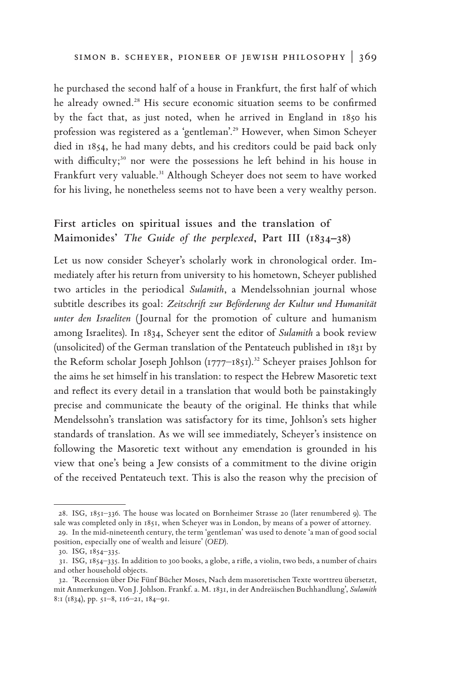he purchased the second half of a house in Frankfurt, the first half of which he already owned.**28** His secure economic situation seems to be confirmed by the fact that, as just noted, when he arrived in England in 1850 his profession was registered as a 'gentleman'.**29** However, when Simon Scheyer died in 1854, he had many debts, and his creditors could be paid back only with difficulty;<sup>30</sup> nor were the possessions he left behind in his house in Frankfurt very valuable.**31** Although Scheyer does not seem to have worked for his living, he nonetheless seems not to have been a very wealthy person.

# **First articles on spiritual issues and the translation of Maimonides'** *The Guide of the perplexed***, Part III (1834–38)**

Let us now consider Scheyer's scholarly work in chronological order. Immediately after his return from university to his hometown, Scheyer published two articles in the periodical *Sulamith*, a Mendelssohnian journal whose subtitle describes its goal: *Zeitschrift zur Beförderung der Kultur und Humanität unter den Israeliten* (Journal for the promotion of culture and humanism among Israelites). In 1834, Scheyer sent the editor of *Sulamith* a book review (unsolicited) of the German translation of the Pentateuch published in 1831 by the Reform scholar Joseph Johlson (1777–1851).**32** Scheyer praises Johlson for the aims he set himself in his translation: to respect the Hebrew Masoretic text and reflect its every detail in a translation that would both be painstakingly precise and communicate the beauty of the original. He thinks that while Mendelssohn's translation was satisfactory for its time, Johlson's sets higher standards of translation. As we will see immediately, Scheyer's insistence on following the Masoretic text without any emendation is grounded in his view that one's being a Jew consists of a commitment to the divine origin of the received Pentateuch text. This is also the reason why the precision of

<sup>28.</sup> ISG, 1851–336. The house was located on Bornheimer Strasse 20 (later renumbered 9). The sale was completed only in 1851, when Scheyer was in London, by means of a power of attorney.

<sup>29.</sup> In the mid-nineteenth century, the term 'gentleman' was used to denote 'a man of good social position, especially one of wealth and leisure' (*OED*).

<sup>30.</sup> ISG, 1854–335.

<sup>31.</sup> ISG, 1854–335. In addition to 300 books, a globe, a rifle, a violin, two beds, a number of chairs and other household objects.

<sup>32.</sup> 'Recension über Die Fünf Bücher Moses, Nach dem masoretischen Texte worttreu übersetzt, mit Anmerkungen. Von J. Johlson. Frankf. a. M. 1831, in der Andreäischen Buchhandlung', *Sulamith* 8:1 (1834), pp. 51–8, 116–21, 184–91.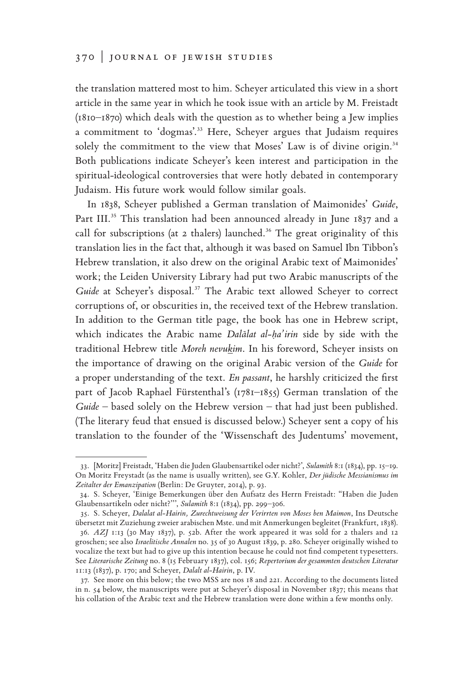the translation mattered most to him. Scheyer articulated this view in a short article in the same year in which he took issue with an article by M. Freistadt (1810–1870) which deals with the question as to whether being a Jew implies a commitment to 'dogmas'.**33** Here, Scheyer argues that Judaism requires solely the commitment to the view that Moses' Law is of divine origin.**<sup>34</sup>** Both publications indicate Scheyer's keen interest and participation in the spiritual-ideological controversies that were hotly debated in contemporary Judaism. His future work would follow similar goals.

In 1838, Scheyer published a German translation of Maimonides' *Guide*, Part III.**35** This translation had been announced already in June 1837 and a call for subscriptions (at 2 thalers) launched.**36** The great originality of this translation lies in the fact that, although it was based on Samuel Ibn Tibbon's Hebrew translation, it also drew on the original Arabic text of Maimonides' work; the Leiden University Library had put two Arabic manuscripts of the *Guide* at Scheyer's disposal.**37** The Arabic text allowed Scheyer to correct corruptions of, or obscurities in, the received text of the Hebrew translation. In addition to the German title page, the book has one in Hebrew script, which indicates the Arabic name *Dalālat al-ḥa'irin* side by side with the traditional Hebrew title *Moreh nevukim*. In his foreword, Scheyer insists on the importance of drawing on the original Arabic version of the *Guide* for a proper understanding of the text. *En passant*, he harshly criticized the first part of Jacob Raphael Fürstenthal's (1781–1855) German translation of the *Guide* – based solely on the Hebrew version – that had just been published. (The literary feud that ensued is discussed below.) Scheyer sent a copy of his translation to the founder of the 'Wissenschaft des Judentums' movement,

<sup>33.</sup> [Moritz] Freistadt, 'Haben die Juden Glaubensartikel oder nicht?', *Sulamith* 8:1 (1834), pp. 15–19. On Moritz Freystadt (as the name is usually written), see G.Y. Kohler, *Der jüdische Messianismus im Zeitalter der Emanzipation* (Berlin: De Gruyter, 2014), p. 93.

<sup>34.</sup> S. Scheyer, 'Einige Bemerkungen über den Aufsatz des Herrn Freistadt: "Haben die Juden Glaubensartikeln oder nicht?''', *Sulamith* 8:1 (1834), pp. 299–306.

<sup>35.</sup> S. Scheyer, *Dalalat al-Hairin, Zurechtweisung der Verirrten von Moses ben Maimon*, Ins Deutsche übersetzt mit Zuziehung zweier arabischen Mste. und mit Anmerkungen begleitet (Frankfurt, 1838).

<sup>36.</sup> *AZJ* 1:13 (30 May 1837), p. 52b. After the work appeared it was sold for 2 thalers and 12 groschen; see also *Israelitische Annalen* no. 35 of 30 August 1839, p. 280. Scheyer originally wished to vocalize the text but had to give up this intention because he could not find competent typesetters. See *Literarische Zeitung* no. 8 (15 February 1837), col. 156; *Repertorium der gesammten deutschen Literatur*  11:13 (1837), p. 170; and Scheyer, *Dalalt al-Hairin*, p. IV.

<sup>37.</sup> See more on this below; the two MSS are nos 18 and 221. According to the documents listed in n. 54 below, the manuscripts were put at Scheyer's disposal in November 1837; this means that his collation of the Arabic text and the Hebrew translation were done within a few months only.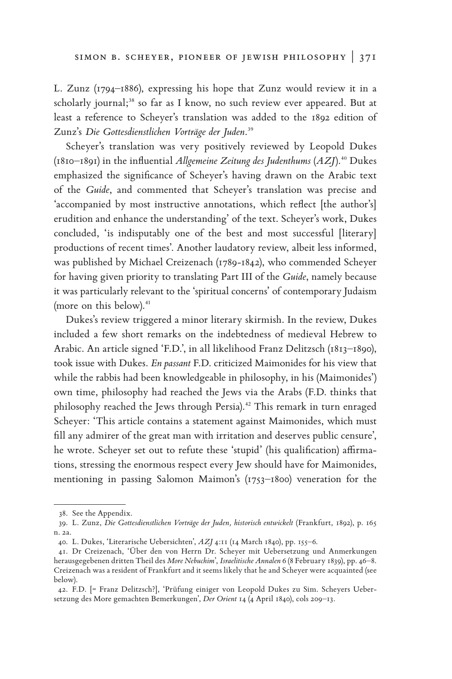L. Zunz (1794–1886), expressing his hope that Zunz would review it in a scholarly journal;**38** so far as I know, no such review ever appeared. But at least a reference to Scheyer's translation was added to the 1892 edition of Zunz's *Die Gottesdienstlichen Vorträge der Juden*. **39**

Scheyer's translation was very positively reviewed by Leopold Dukes (1810–1891) in the influential *Allgemeine Zeitung des Judenthums* (*AZJ*).**40** Dukes emphasized the significance of Scheyer's having drawn on the Arabic text of the *Guide*, and commented that Scheyer's translation was precise and 'accompanied by most instructive annotations, which reflect [the author's] erudition and enhance the understanding' of the text. Scheyer's work, Dukes concluded, 'is indisputably one of the best and most successful [literary] productions of recent times'. Another laudatory review, albeit less informed, was published by Michael Creizenach (1789-1842), who commended Scheyer for having given priority to translating Part III of the *Guide*, namely because it was particularly relevant to the 'spiritual concerns' of contemporary Judaism (more on this below).**<sup>41</sup>**

Dukes's review triggered a minor literary skirmish. In the review, Dukes included a few short remarks on the indebtedness of medieval Hebrew to Arabic. An article signed 'F.D.', in all likelihood Franz Delitzsch (1813–1890), took issue with Dukes. *En passant* F.D. criticized Maimonides for his view that while the rabbis had been knowledgeable in philosophy, in his (Maimonides') own time, philosophy had reached the Jews via the Arabs (F.D. thinks that philosophy reached the Jews through Persia).**42** This remark in turn enraged Scheyer: 'This article contains a statement against Maimonides, which must fill any admirer of the great man with irritation and deserves public censure', he wrote. Scheyer set out to refute these 'stupid' (his qualification) affirmations, stressing the enormous respect every Jew should have for Maimonides, mentioning in passing Salomon Maimon's (1753–1800) veneration for the

<sup>38.</sup> See the Appendix.

<sup>39.</sup> L. Zunz, *Die Gottesdienstlichen Vorträge der Juden, historisch entwickelt* (Frankfurt, 1892), p. 165 n. 2a.

<sup>40.</sup> L. Dukes, 'Literarische Uebersichten', *AZJ* 4:11 (14 March 1840), pp. 155–6.

<sup>41.</sup> Dr Creizenach, 'Über den von Herrn Dr. Scheyer mit Uebersetzung und Anmerkungen herausgegebenen dritten Theil des *More Nebuchim*', *Israelitische Annalen* 6 (8 February 1839), pp. 46–8. Creizenach was a resident of Frankfurt and it seems likely that he and Scheyer were acquainted (see below).

<sup>42.</sup> F.D. [= Franz Delitzsch?], 'Prüfung einiger von Leopold Dukes zu Sim. Scheyers Uebersetzung des More gemachten Bemerkungen', *Der Orient* 14 (4 April 1840), cols 209–13.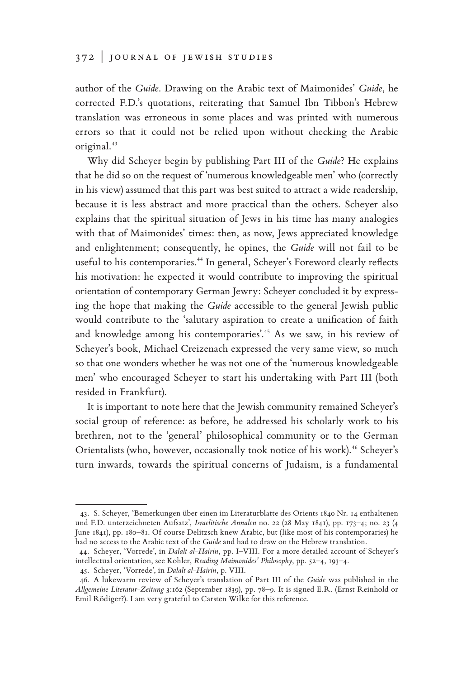author of the *Guide*. Drawing on the Arabic text of Maimonides' *Guide*, he corrected F.D.'s quotations, reiterating that Samuel Ibn Tibbon's Hebrew translation was erroneous in some places and was printed with numerous errors so that it could not be relied upon without checking the Arabic original.**<sup>43</sup>**

Why did Scheyer begin by publishing Part III of the *Guide*? He explains that he did so on the request of 'numerous knowledgeable men' who (correctly in his view) assumed that this part was best suited to attract a wide readership, because it is less abstract and more practical than the others. Scheyer also explains that the spiritual situation of Jews in his time has many analogies with that of Maimonides' times: then, as now, Jews appreciated knowledge and enlightenment; consequently, he opines, the *Guide* will not fail to be useful to his contemporaries.**44** In general, Scheyer's Foreword clearly reflects his motivation: he expected it would contribute to improving the spiritual orientation of contemporary German Jewry: Scheyer concluded it by expressing the hope that making the *Guide* accessible to the general Jewish public would contribute to the 'salutary aspiration to create a unification of faith and knowledge among his contemporaries'.**45** As we saw, in his review of Scheyer's book, Michael Creizenach expressed the very same view, so much so that one wonders whether he was not one of the 'numerous knowledgeable men' who encouraged Scheyer to start his undertaking with Part III (both resided in Frankfurt).

It is important to note here that the Jewish community remained Scheyer's social group of reference: as before, he addressed his scholarly work to his brethren, not to the 'general' philosophical community or to the German Orientalists (who, however, occasionally took notice of his work).**46** Scheyer's turn inwards, towards the spiritual concerns of Judaism, is a fundamental

<sup>43.</sup> S. Scheyer, 'Bemerkungen über einen im Literaturblatte des Orients 1840 Nr. 14 enthaltenen und F.D. unterzeichneten Aufsatz', *Israelitische Annalen* no. 22 (28 May 1841), pp. 173–4; no. 23 (4 June 1841), pp. 180–81. Of course Delitzsch knew Arabic, but (like most of his contemporaries) he had no access to the Arabic text of the *Guide* and had to draw on the Hebrew translation.

<sup>44.</sup> Scheyer, 'Vorrede', in *Dalalt al-Hairin*, pp. I–VIII. For a more detailed account of Scheyer's intellectual orientation, see Kohler, *Reading Maimonides' Philosophy*, pp. 52–4, 193–4.

<sup>45.</sup> Scheyer, 'Vorrede', in *Dalalt al-Hairin*, p. VIII.

<sup>46.</sup> A lukewarm review of Scheyer's translation of Part III of the *Guide* was published in the *Allgemeine Literatur-Zeitung* 3:162 (September 1839), pp. 78–9. It is signed E.R. (Ernst Reinhold or Emil Rödiger?). I am very grateful to Carsten Wilke for this reference.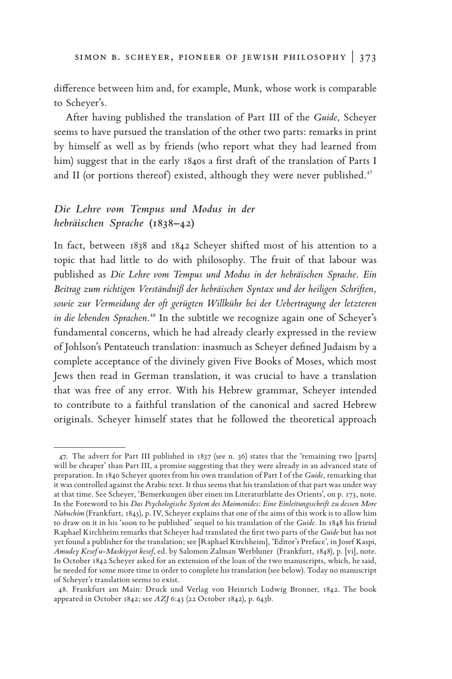difference between him and, for example, Munk, whose work is comparable to Scheyer's.

After having published the translation of Part III of the *Guide*, Scheyer seems to have pursued the translation of the other two parts: remarks in print by himself as well as by friends (who report what they had learned from him) suggest that in the early 1840s a first draft of the translation of Parts I and II (or portions thereof) existed, although they were never published.**<sup>47</sup>**

# *Die Lehre vom Tempus und Modus in der hebräischen Sprache* **(1838–42)**

In fact, between 1838 and 1842 Scheyer shifted most of his attention to a topic that had little to do with philosophy. The fruit of that labour was published as *Die Lehre vom Tempus und Modus in der hebräischen Sprache. Ein Beitrag zum richtigen Verständniß der hebräischen Syntax und der heiligen Schriften, sowie zur Vermeidung der oft gerügten Willkühr bei der Uebertragung der letzteren*  in die lebenden Sprachen.<sup>48</sup> In the subtitle we recognize again one of Scheyer's fundamental concerns, which he had already clearly expressed in the review of Johlson's Pentateuch translation: inasmuch as Scheyer defined Judaism by a complete acceptance of the divinely given Five Books of Moses, which most Jews then read in German translation, it was crucial to have a translation that was free of any error. With his Hebrew grammar, Scheyer intended to contribute to a faithful translation of the canonical and sacred Hebrew originals. Scheyer himself states that he followed the theoretical approach

<sup>47.</sup> The advert for Part III published in 1837 (see n. 36) states that the 'remaining two [parts] will be cheaper' than Part III, a promise suggesting that they were already in an advanced state of preparation. In 1840 Scheyer quotes from his own translation of Part I of the *Guide*, remarking that it was controlled against the Arabic text. It thus seems that his translation of that part was under way at that time. See Scheyer, 'Bemerkungen über einen im Literaturblatte des Orients', on p. 173, note. In the Foreword to his *Das Psychologische System des Maimonides: Eine Einleitungsschrift zu dessen More Nabuchim* (Frankfurt, 1845), p. IV, Scheyer explains that one of the aims of this work is to allow him to draw on it in his 'soon to be published' sequel to his translation of the *Guide*. In 1848 his friend Raphael Kirchheim remarks that Scheyer had translated the first two parts of the *Guide* but has not yet found a publisher for the translation; see [Raphael Kirchheim], 'Editor's Preface', in Josef Kaspi, *Amudey Kesef u-Maskiyyot kesef*, ed. by Salomon Zalman Werbluner (Frankfurt, 1848), p. [vi], note. In October 1842 Scheyer asked for an extension of the loan of the two manuscripts, which, he said, he needed for some more time in order to complete his translation (see below). Today no manuscript of Scheyer's translation seems to exist.

<sup>48.</sup> Frankfurt am Main: Druck und Verlag von Heinrich Ludwig Bronner, 1842. The book appeared in October 1842; see *AZJ* 6:43 (22 October 1842), p. 643b.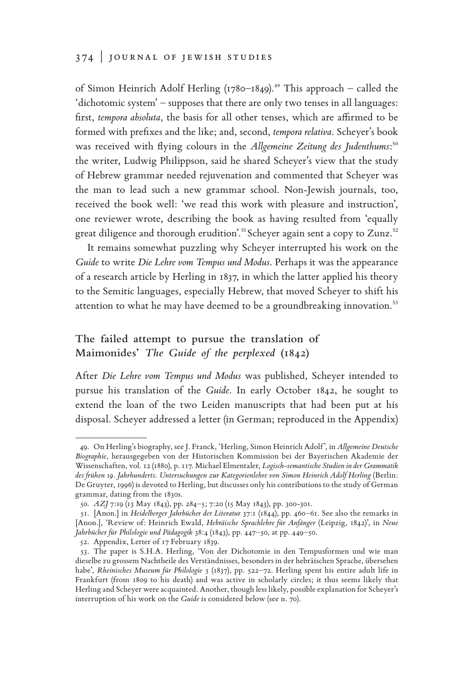### 374 | journal of jewish studies

of Simon Heinrich Adolf Herling (1780–1849).**49** This approach – called the 'dichotomic system' – supposes that there are only two tenses in all languages: first, *tempora absoluta*, the basis for all other tenses, which are affirmed to be formed with prefixes and the like; and, second, *tempora relativa*. Scheyer's book was received with flying colours in the *Allgemeine Zeitung des Judenthums*: **50** the writer, Ludwig Philippson, said he shared Scheyer's view that the study of Hebrew grammar needed rejuvenation and commented that Scheyer was the man to lead such a new grammar school. Non-Jewish journals, too, received the book well: 'we read this work with pleasure and instruction', one reviewer wrote, describing the book as having resulted from 'equally great diligence and thorough erudition'.**51**Scheyer again sent a copy to Zunz.**<sup>52</sup>**

It remains somewhat puzzling why Scheyer interrupted his work on the *Guide* to write *Die Lehre vom Tempus und Modus*. Perhaps it was the appearance of a research article by Herling in 1837, in which the latter applied his theory to the Semitic languages, especially Hebrew, that moved Scheyer to shift his attention to what he may have deemed to be a groundbreaking innovation.**<sup>53</sup>**

## **The failed attempt to pursue the translation of Maimonides'** *The Guide of the perplexed* **(1842)**

After *Die Lehre vom Tempus und Modus* was published, Scheyer intended to pursue his translation of the *Guide*. In early October 1842, he sought to extend the loan of the two Leiden manuscripts that had been put at his disposal. Scheyer addressed a letter (in German; reproduced in the Appendix)

<sup>49.</sup> On Herling's biography, see J. Franck, 'Herling, Simon Heinrich Adolf', in *Allgemeine Deutsche Biographie*, herausgegeben von der Historischen Kommission bei der Bayerischen Akademie der Wissenschaften, vol. 12 (1880), p. 117. Michael Elmentaler, *Logisch-semantische Studien in der Grammatik des frühen 19. Jahrhunderts*. *Untersuchungen zur Kategorienlehre von Simon Heinrich Adolf Herling* (Berlin: De Gruyter, 1996) is devoted to Herling, but discusses only his contributions to the study of German grammar, dating from the 1830s.

<sup>50.</sup> *AZJ* 7:19 (13 May 1843), pp. 284–5; 7:20 (15 May 1843), pp. 300-301.

<sup>51.</sup> [Anon.] in *Heidelberger Jahrbücher der Literatur* 37:1 (1844), pp. 460–61. See also the remarks in [Anon.], 'Review of: Heinrich Ewald, *Hebräische Sprachlehre für Anfänger* (Leipzig, 1842)', in *Neue Jahrbücher für Philologie und Pädagogik* 38:4 (1843), pp. 447–50, at pp. 449–50.

<sup>52.</sup> Appendix, Letter of 17 February 1839.

<sup>53.</sup> The paper is S.H.A. Herling, 'Von der Dichotomie in den Tempusformen und wie man dieselbe zu grossem Nachtheile des Verständnisses, besonders in der hebräischen Sprache, übersehen habe', *Rheinisches Museum für Philologie* 5 (1837), pp. 522–72. Herling spent his entire adult life in Frankfurt (from 1809 to his death) and was active in scholarly circles; it thus seems likely that Herling and Scheyer were acquainted. Another, though less likely, possible explanation for Scheyer's interruption of his work on the *Guide* is considered below (see n. 70).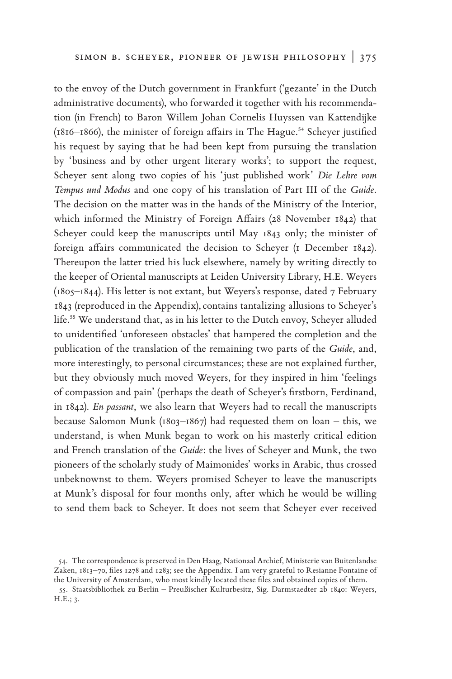to the envoy of the Dutch government in Frankfurt ('gezante' in the Dutch administrative documents), who forwarded it together with his recommendation (in French) to Baron Willem Johan Cornelis Huyssen van Kattendijke (1816–1866), the minister of foreign affairs in The Hague.**54** Scheyer justified his request by saying that he had been kept from pursuing the translation by 'business and by other urgent literary works'; to support the request, Scheyer sent along two copies of his 'just published work' *Die Lehre vom Tempus und Modus* and one copy of his translation of Part III of the *Guide*. The decision on the matter was in the hands of the Ministry of the Interior, which informed the Ministry of Foreign Affairs (28 November 1842) that Scheyer could keep the manuscripts until May 1843 only; the minister of foreign affairs communicated the decision to Scheyer (1 December 1842). Thereupon the latter tried his luck elsewhere, namely by writing directly to the keeper of Oriental manuscripts at Leiden University Library, H.E. Weyers (1805–1844). His letter is not extant, but Weyers's response, dated 7 February 1843 (reproduced in the Appendix),contains tantalizing allusions to Scheyer's life.**55** We understand that, as in his letter to the Dutch envoy, Scheyer alluded to unidentified 'unforeseen obstacles' that hampered the completion and the publication of the translation of the remaining two parts of the *Guide*, and, more interestingly, to personal circumstances; these are not explained further, but they obviously much moved Weyers, for they inspired in him 'feelings of compassion and pain' (perhaps the death of Scheyer's firstborn, Ferdinand, in 1842). *En passant*, we also learn that Weyers had to recall the manuscripts because Salomon Munk ( $1803-1867$ ) had requested them on loan – this, we understand, is when Munk began to work on his masterly critical edition and French translation of the *Guide*: the lives of Scheyer and Munk, the two pioneers of the scholarly study of Maimonides' works in Arabic, thus crossed unbeknownst to them. Weyers promised Scheyer to leave the manuscripts at Munk's disposal for four months only, after which he would be willing to send them back to Scheyer. It does not seem that Scheyer ever received

<sup>54.</sup> The correspondence is preserved in Den Haag, Nationaal Archief, Ministerie van Buitenlandse Zaken, 1813–70, files 1278 and 1283; see the Appendix. I am very grateful to Resianne Fontaine of the University of Amsterdam, who most kindly located these files and obtained copies of them.

<sup>55.</sup> Staatsbibliothek zu Berlin – Preußischer Kulturbesitz, Sig. Darmstaedter 2b 1840: Weyers, H.E.; 3.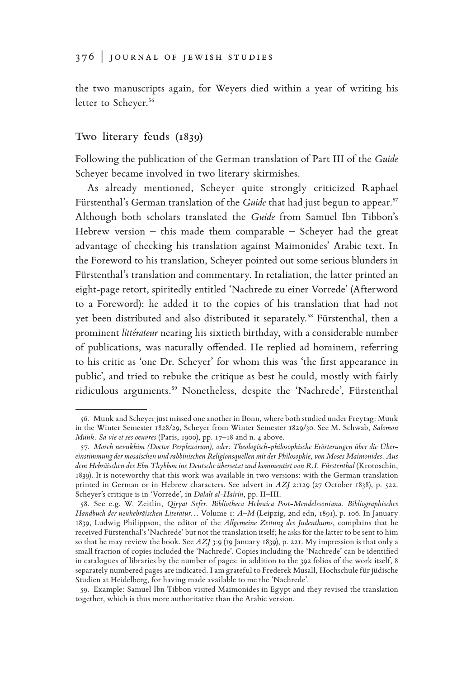the two manuscripts again, for Weyers died within a year of writing his letter to Scheyer.**<sup>56</sup>**

### **Two literary feuds (1839)**

Following the publication of the German translation of Part III of the *Guide* Scheyer became involved in two literary skirmishes.

As already mentioned, Scheyer quite strongly criticized Raphael Fürstenthal's German translation of the *Guide* that had just begun to appear.**<sup>57</sup>** Although both scholars translated the *Guide* from Samuel Ibn Tibbon's Hebrew version – this made them comparable – Scheyer had the great advantage of checking his translation against Maimonides' Arabic text. In the Foreword to his translation, Scheyer pointed out some serious blunders in Fürstenthal's translation and commentary. In retaliation, the latter printed an eight-page retort, spiritedly entitled 'Nachrede zu einer Vorrede' (Afterword to a Foreword): he added it to the copies of his translation that had not yet been distributed and also distributed it separately.**58** Fürstenthal, then a prominent *littérateur* nearing his sixtieth birthday, with a considerable number of publications, was naturally offended. He replied ad hominem, referring to his critic as 'one Dr. Scheyer' for whom this was 'the first appearance in public', and tried to rebuke the critique as best he could, mostly with fairly ridiculous arguments.**59** Nonetheless, despite the 'Nachrede', Fürstenthal

<sup>56.</sup> Munk and Scheyer just missed one another in Bonn, where both studied under Freytag: Munk in the Winter Semester 1828/29, Scheyer from Winter Semester 1829/30. See M. Schwab, *Salomon Munk. Sa vie et ses oeuvres* (Paris, 1900), pp. 17–18 and n. 4 above.

<sup>57.</sup> *Moreh nevukhim (Doctor Perplexorum), oder: Theologisch-philosophische Erörterungen über die Übereinstimmung der mosaischen und rabbinischen Religionsquellen mit der Philosophie, von Moses Maimonides. Aus dem Hebräischen des Ebn Thybbon ins Deutsche übersetzt und kommentirt von R.I. Fürstenthal* (Krotoschin, 1839). It is noteworthy that this work was available in two versions: with the German translation printed in German or in Hebrew characters. See advert in *AZJ* 2:129 (27 October 1838), p. 522. Scheyer's critique is in 'Vorrede', in *Dalalt al-Hairin*, pp. II–III.

<sup>58.</sup> See e.g. W. Zeitlin, *Qiryat Sefer. Bibliotheca Hebraica Post-Mendelssoniana. Bibliographisches Handbuch der neuhebräischen Literatur*… Volume 1: *A–M* (Leipzig, 2nd edn, 1891), p. 106. In January 1839, Ludwig Philippson, the editor of the *Allgemeine Zeitung des Judenthums*, complains that he received Fürstenthal's 'Nachrede' but not the translation itself; he asks for the latter to be sent to him so that he may review the book. See *AZJ* 3:9 (19 January 1839), p. 221. My impression is that only a small fraction of copies included the 'Nachrede'. Copies including the 'Nachrede' can be identified in catalogues of libraries by the number of pages: in addition to the 392 folios of the work itself, 8 separately numbered pages are indicated. I am grateful to Frederek Musall, Hochschule für jüdische Studien at Heidelberg, for having made available to me the 'Nachrede'.

<sup>59.</sup> Example: Samuel Ibn Tibbon visited Maimonides in Egypt and they revised the translation together, which is thus more authoritative than the Arabic version.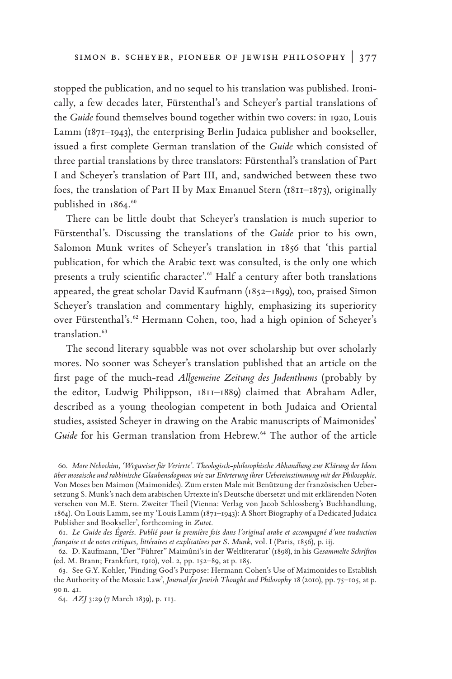stopped the publication, and no sequel to his translation was published. Ironically, a few decades later, Fürstenthal's and Scheyer's partial translations of the *Guide* found themselves bound together within two covers: in 1920, Louis Lamm (1871–1943), the enterprising Berlin Judaica publisher and bookseller, issued a first complete German translation of the *Guide* which consisted of three partial translations by three translators: Fürstenthal's translation of Part I and Scheyer's translation of Part III, and, sandwiched between these two foes, the translation of Part II by Max Emanuel Stern (1811–1873), originally published in 1864.**<sup>60</sup>**

There can be little doubt that Scheyer's translation is much superior to Fürstenthal's. Discussing the translations of the *Guide* prior to his own, Salomon Munk writes of Scheyer's translation in 1856 that 'this partial publication, for which the Arabic text was consulted, is the only one which presents a truly scientific character'.**61** Half a century after both translations appeared, the great scholar David Kaufmann (1852–1899), too, praised Simon Scheyer's translation and commentary highly, emphasizing its superiority over Fürstenthal's.**62** Hermann Cohen, too, had a high opinion of Scheyer's translation.**<sup>63</sup>**

The second literary squabble was not over scholarship but over scholarly mores. No sooner was Scheyer's translation published that an article on the first page of the much-read *Allgemeine Zeitung des Judenthums* (probably by the editor, Ludwig Philippson, 1811–1889) claimed that Abraham Adler, described as a young theologian competent in both Judaica and Oriental studies, assisted Scheyer in drawing on the Arabic manuscripts of Maimonides' *Guide* for his German translation from Hebrew.**64** The author of the article

<sup>60.</sup> *More Nebochim, 'Wegweiser für Verirrte'. Theologisch-philosophische Abhandlung zur Klärung der Ideen über mosaische und rabbinische Glaubensdogmen wie zur Erörterung ihrer Uebereinstimmung mit der Philosophie*. Von Moses ben Maimon (Maimonides). Zum ersten Male mit Benützung der französischen Uebersetzung S. Munk's nach dem arabischen Urtexte in's Deutsche übersetzt und mit erklärenden Noten versehen von M.E. Stern. Zweiter Theil (Vienna: Verlag von Jacob Schlossberg's Buchhandlung, 1864). On Louis Lamm, see my 'Louis Lamm (1871–1943): A Short Biography of a Dedicated Judaica Publisher and Bookseller', forthcoming in *Zutot*.

<sup>61.</sup> *Le Guide des Égarés*. *Publié pour la première fois dans l'original arabe et accompagné d'une traduction française et de notes critiques, littéraires et explicatives par S. Munk*, vol. I (Paris, 1856), p. iij.

<sup>62.</sup> D. Kaufmann, 'Der "Führer" Maimûni's in der Weltliteratur' (1898), in his *Gesammelte Schriften* (ed. M. Brann; Frankfurt, 1910), vol. 2, pp. 152–89, at p. 185.

<sup>63.</sup> See G.Y. Kohler, 'Finding God's Purpose: Hermann Cohen's Use of Maimonides to Establish the Authority of the Mosaic Law', *Journal for Jewish Thought and Philosophy* 18 (2010), pp. 75–105, at p. 90 n. 41.

<sup>64.</sup> *AZJ* 3:29 (7 March 1839), p. 113.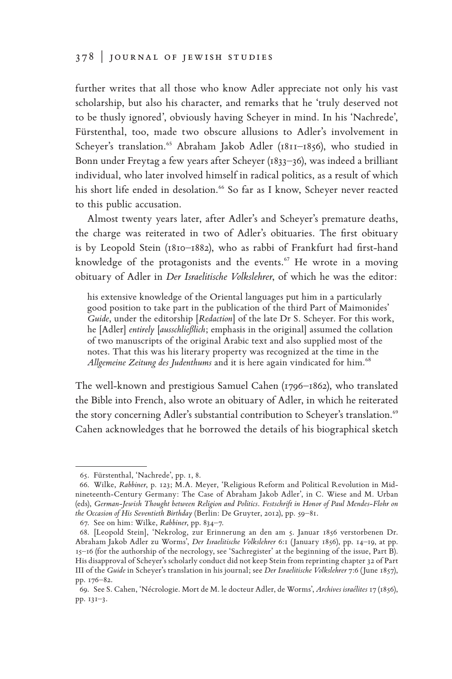further writes that all those who know Adler appreciate not only his vast scholarship, but also his character, and remarks that he 'truly deserved not to be thusly ignored', obviously having Scheyer in mind. In his 'Nachrede', Fürstenthal, too, made two obscure allusions to Adler's involvement in Scheyer's translation.<sup>65</sup> Abraham Jakob Adler (1811-1856), who studied in Bonn under Freytag a few years after Scheyer (1833–36), was indeed a brilliant individual, who later involved himself in radical politics, as a result of which his short life ended in desolation.**66** So far as I know, Scheyer never reacted to this public accusation.

Almost twenty years later, after Adler's and Scheyer's premature deaths, the charge was reiterated in two of Adler's obituaries. The first obituary is by Leopold Stein (1810–1882), who as rabbi of Frankfurt had first-hand knowledge of the protagonists and the events.**67** He wrote in a moving obituary of Adler in *Der Israelitische Volkslehrer*, of which he was the editor:

his extensive knowledge of the Oriental languages put him in a particularly good position to take part in the publication of the third Part of Maimonides' *Guide*, under the editorship [*Redaction*] of the late Dr S. Scheyer. For this work, he [Adler] *entirely* [*ausschließlich*; emphasis in the original] assumed the collation of two manuscripts of the original Arabic text and also supplied most of the notes. That this was his literary property was recognized at the time in the *Allgemeine Zeitung des Judenthums* and it is here again vindicated for him.**<sup>68</sup>**

The well-known and prestigious Samuel Cahen (1796–1862), who translated the Bible into French, also wrote an obituary of Adler, in which he reiterated the story concerning Adler's substantial contribution to Scheyer's translation.**<sup>69</sup>** Cahen acknowledges that he borrowed the details of his biographical sketch

<sup>65.</sup> Fürstenthal, 'Nachrede', pp. 1, 8.

<sup>66.</sup> Wilke, *Rabbiner*, p. 123; M.A. Meyer, 'Religious Reform and Political Revolution in Midnineteenth-Century Germany: The Case of Abraham Jakob Adler', in C. Wiese and M. Urban (eds), *German-Jewish Thought between Religion and Politics*. *Festschrift in Honor of Paul Mendes-Flohr on the Occasion of His Seventieth Birthday* (Berlin: De Gruyter, 2012), pp. 59–81.

<sup>67.</sup> See on him: Wilke, *Rabbiner*, pp. 834–7.

<sup>68.</sup> [Leopold Stein], 'Nekrolog, zur Erinnerung an den am 5. Januar 1856 verstorbenen Dr. Abraham Jakob Adler zu Worms', *Der Israelitische Volkslehrer* 6:1 (January 1856), pp. 14–19, at pp. 15–16 (for the authorship of the necrology, see 'Sachregister' at the beginning of the issue, Part B). His disapproval of Scheyer's scholarly conduct did not keep Stein from reprinting chapter 32 of Part III of the *Guide* in Scheyer's translation in his journal; see *Der Israelitische Volkslehrer* 7:6 (June 1857), pp. 176–82.

<sup>69.</sup> See S. Cahen, 'Nécrologie. Mort de M. le docteur Adler, de Worms', *Archives israélites* 17 (1856), pp. 131–3.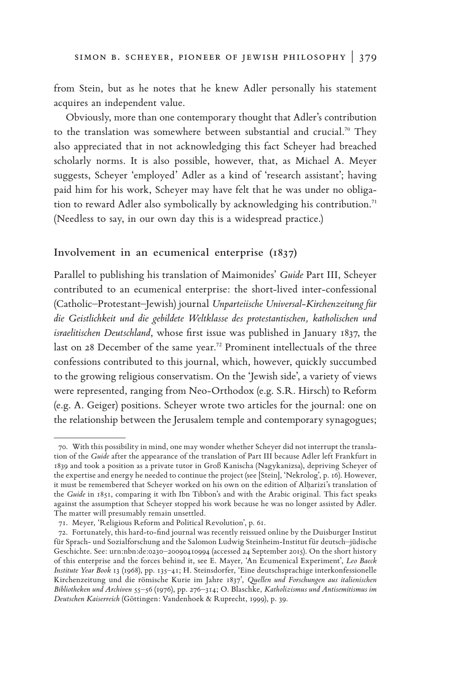from Stein, but as he notes that he knew Adler personally his statement acquires an independent value.

Obviously, more than one contemporary thought that Adler's contribution to the translation was somewhere between substantial and crucial.**70** They also appreciated that in not acknowledging this fact Scheyer had breached scholarly norms. It is also possible, however, that, as Michael A. Meyer suggests, Scheyer 'employed' Adler as a kind of 'research assistant'; having paid him for his work, Scheyer may have felt that he was under no obligation to reward Adler also symbolically by acknowledging his contribution.**<sup>71</sup>** (Needless to say, in our own day this is a widespread practice.)

### **Involvement in an ecumenical enterprise (1837)**

Parallel to publishing his translation of Maimonides' *Guide* Part III, Scheyer contributed to an ecumenical enterprise: the short-lived inter-confessional (Catholic–Protestant–Jewish) journal *Unparteiische Universal-Kirchenzeitung für die Geistlichkeit und die gebildete Weltklasse des protestantischen, katholischen und israelitischen Deutschland*, whose first issue was published in January 1837, the last on 28 December of the same year.**72** Prominent intellectuals of the three confessions contributed to this journal, which, however, quickly succumbed to the growing religious conservatism. On the 'Jewish side', a variety of views were represented, ranging from Neo-Orthodox (e.g. S.R. Hirsch) to Reform (e.g. A. Geiger) positions. Scheyer wrote two articles for the journal: one on the relationship between the Jerusalem temple and contemporary synagogues;

<sup>70.</sup> With this possibility in mind, one may wonder whether Scheyer did not interrupt the translation of the *Guide* after the appearance of the translation of Part III because Adler left Frankfurt in 1839 and took a position as a private tutor in Groß Kanischa (Nagykanizsa), depriving Scheyer of the expertise and energy he needed to continue the project (see [Stein], 'Nekrolog', p. 16). However, it must be remembered that Scheyer worked on his own on the edition of Alḥarizi's translation of the *Guide* in 1851, comparing it with Ibn Tibbon's and with the Arabic original. This fact speaks against the assumption that Scheyer stopped his work because he was no longer assisted by Adler. The matter will presumably remain unsettled.

<sup>71.</sup> Meyer, 'Religious Reform and Political Revolution', p. 61.

<sup>72.</sup> Fortunately, this hard-to-find journal was recently reissued online by the Duisburger Institut für Sprach- und Sozialforschung and the Salomon Ludwig Steinheim-Institut für deutsch–jüdische Geschichte. See: urn:nbn:de:0230–20090410994 (accessed 24 September 2015). On the short history of this enterprise and the forces behind it, see E. Mayer, 'An Ecumenical Experiment', *Leo Baeck Institute Year Book* 13 (1968), pp. 135–41; H. Steinsdorfer, 'Eine deutschsprachige interkonfessionelle Kirchenzeitung und die römische Kurie im Jahre 1837', *Quellen und Forschungen aus italienischen Bibliotheken und Archiven* 55–56 (1976), pp. 276–314; O. Blaschke, *Katholizismus und Antisemitismus im Deutschen Kaiserreich* (Göttingen: Vandenhoek & Ruprecht, 1999), p. 39.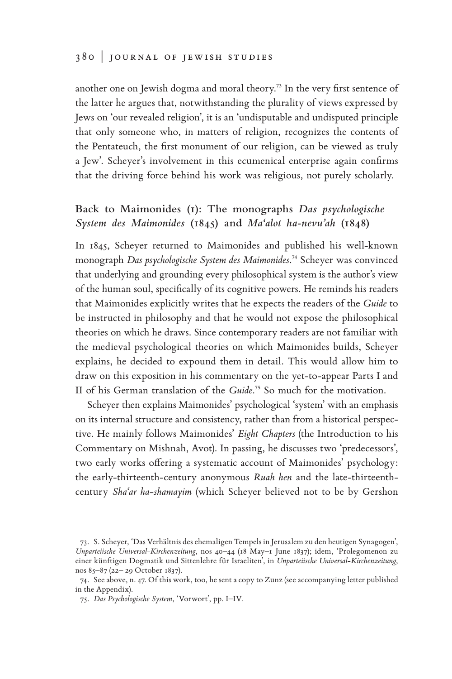another one on Jewish dogma and moral theory.**73** In the very first sentence of the latter he argues that, notwithstanding the plurality of views expressed by Jews on 'our revealed religion', it is an 'undisputable and undisputed principle that only someone who, in matters of religion, recognizes the contents of the Pentateuch, the first monument of our religion, can be viewed as truly a Jew'. Scheyer's involvement in this ecumenical enterprise again confirms that the driving force behind his work was religious, not purely scholarly.

# **Back to Maimonides (1): The monographs** *Das psychologische System des Maimonides* **(1845) and** *Ma'alot ha-nevu'ah* **(1848)**

In 1845, Scheyer returned to Maimonides and published his well-known monograph *Das psychologische System des Maimonides*. **<sup>74</sup>** Scheyer was convinced that underlying and grounding every philosophical system is the author's view of the human soul, specifically of its cognitive powers. He reminds his readers that Maimonides explicitly writes that he expects the readers of the *Guide* to be instructed in philosophy and that he would not expose the philosophical theories on which he draws. Since contemporary readers are not familiar with the medieval psychological theories on which Maimonides builds, Scheyer explains, he decided to expound them in detail. This would allow him to draw on this exposition in his commentary on the yet-to-appear Parts I and II of his German translation of the *Guide*. **<sup>75</sup>** So much for the motivation.

Scheyer then explains Maimonides' psychological 'system' with an emphasis on its internal structure and consistency, rather than from a historical perspective. He mainly follows Maimonides' *Eight Chapters* (the Introduction to his Commentary on Mishnah, Avot). In passing, he discusses two 'predecessors', two early works offering a systematic account of Maimonides' psychology: the early-thirteenth-century anonymous *Ruah hen* and the late-thirteenthcentury *Sha'ar ha-shamayim* (which Scheyer believed not to be by Gershon

<sup>73.</sup> S. Scheyer, 'Das Verhältnis des ehemaligen Tempels in Jerusalem zu den heutigen Synagogen', *Unparteiische Universal-Kirchenzeitung*, nos 40–44 (18 May–1 June 1837); idem, 'Prolegomenon zu einer künftigen Dogmatik und Sittenlehre für Israeliten', in *Unparteiische Universal-Kirchenzeitung*, nos 85–87 (22– 29 October 1837).

<sup>74.</sup> See above, n. 47. Of this work, too, he sent a copy to Zunz (see accompanying letter published in the Appendix).

<sup>75.</sup> *Das Psychologische System*, 'Vorwort', pp. I–IV.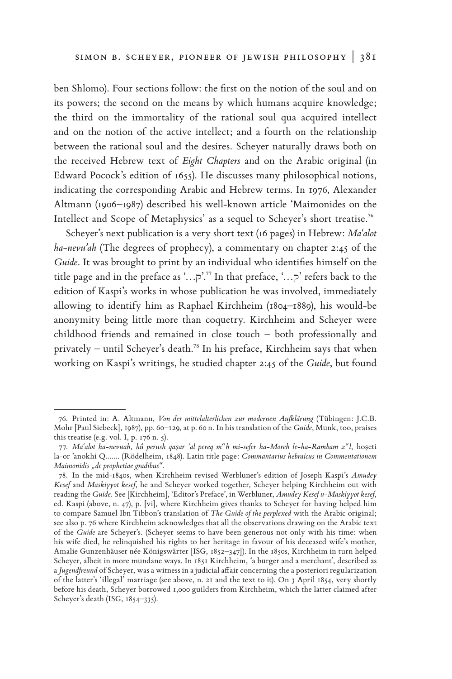ben Shlomo). Four sections follow: the first on the notion of the soul and on its powers; the second on the means by which humans acquire knowledge; the third on the immortality of the rational soul qua acquired intellect and on the notion of the active intellect; and a fourth on the relationship between the rational soul and the desires. Scheyer naturally draws both on the received Hebrew text of *Eight Chapters* and on the Arabic original (in Edward Pocock's edition of 1655). He discusses many philosophical notions, indicating the corresponding Arabic and Hebrew terms. In 1976, Alexander Altmann (1906–1987) described his well-known article 'Maimonides on the Intellect and Scope of Metaphysics' as a sequel to Scheyer's short treatise.**<sup>76</sup>**

Scheyer's next publication is a very short text (16 pages) in Hebrew: *Ma'alot ha-nevu'ah* (The degrees of prophecy), a commentary on chapter 2:45 of the *Guide*. It was brought to print by an individual who identifies himself on the title page and in the preface as '..., $\vec{r}$ '.<sup>77</sup> In that preface, '..., $\vec{r}$ ' refers back to the edition of Kaspi's works in whose publication he was involved, immediately allowing to identify him as Raphael Kirchheim (1804–1889), his would-be anonymity being little more than coquetry. Kirchheim and Scheyer were childhood friends and remained in close touch – both professionally and privately – until Scheyer's death.**78** In his preface, Kirchheim says that when working on Kaspi's writings, he studied chapter 2:45 of the *Guide*, but found

<sup>76.</sup> Printed in: A. Altmann, *Von der mittelalterlichen zur modernen Aufklärung* (Tübingen: J.C.B. Mohr [Paul Siebeck], 1987), pp. 60–129, at p. 60 n. In his translation of the *Guide*, Munk, too, praises this treatise (e.g. vol. I, p.  $176$  n.  $\zeta$ ).

<sup>77.</sup> *Ma'alot ha-nevuah, hû perush qaṣar 'al pereq m"h mi-sefer ha-Moreh le-ha-Rambam z"l*, hoṣeti la-or 'anokhi Q....... (Rödelheim, 1848). Latin title page: *Commantarius hebraicus in Commentationem Maimonidis "de prophetiae gradibus"*.

<sup>78.</sup> In the mid-1840s, when Kirchheim revised Werbluner's edition of Joseph Kaspi's *Amudey Kesef* and *Maskiyyot kesef*, he and Scheyer worked together, Scheyer helping Kirchheim out with reading the *Guide*. See [Kirchheim], 'Editor's Preface', in Werbluner, *Amudey Kesef u-Maskiyyot kesef*, ed. Kaspi (above, n. 47), p. [vi], where Kirchheim gives thanks to Scheyer for having helped him to compare Samuel Ibn Tibbon's translation of *The Guide of the perplexed* with the Arabic original; see also p. 76 where Kirchheim acknowledges that all the observations drawing on the Arabic text of the *Guide* are Scheyer's. (Scheyer seems to have been generous not only with his time: when his wife died, he relinquished his rights to her heritage in favour of his deceased wife's mother, Amalie Gunzenhäuser née Königswärter [ISG, 1852–347]). In the 1850s, Kirchheim in turn helped Scheyer, albeit in more mundane ways. In 1851 Kirchheim, 'a burger and a merchant', described as a *Jugendfreund* of Scheyer, was a witness in a judicial affair concerning the a posteriori regularization of the latter's 'illegal' marriage (see above, n. 21 and the text to it). On 3 April 1854, very shortly before his death, Scheyer borrowed 1,000 guilders from Kirchheim, which the latter claimed after Scheyer's death (ISG, 1854–335).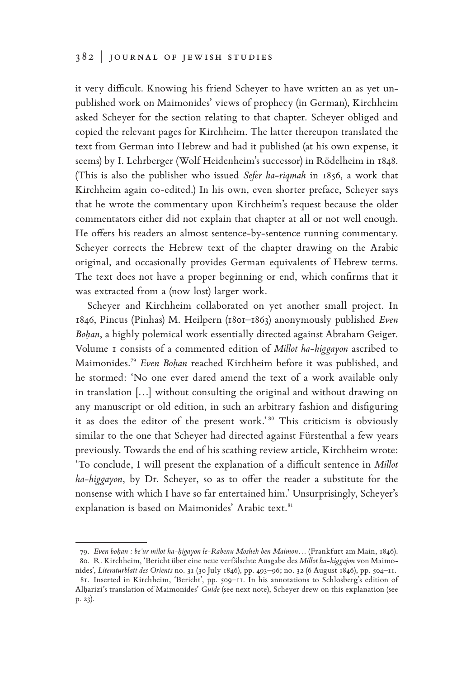it very difficult. Knowing his friend Scheyer to have written an as yet unpublished work on Maimonides' views of prophecy (in German), Kirchheim asked Scheyer for the section relating to that chapter. Scheyer obliged and copied the relevant pages for Kirchheim. The latter thereupon translated the text from German into Hebrew and had it published (at his own expense, it seems) by I. Lehrberger (Wolf Heidenheim's successor) in Rödelheim in 1848. (This is also the publisher who issued *Sefer ha-riqmah* in 1856, a work that Kirchheim again co-edited.) In his own, even shorter preface, Scheyer says that he wrote the commentary upon Kirchheim's request because the older commentators either did not explain that chapter at all or not well enough. He offers his readers an almost sentence-by-sentence running commentary. Scheyer corrects the Hebrew text of the chapter drawing on the Arabic original, and occasionally provides German equivalents of Hebrew terms. The text does not have a proper beginning or end, which confirms that it was extracted from a (now lost) larger work.

Scheyer and Kirchheim collaborated on yet another small project. In 1846, Pincus (Pinhas) M. Heilpern (1801–1863) anonymously published *Even Boḥan*, a highly polemical work essentially directed against Abraham Geiger. Volume 1 consists of a commented edition of *Millot ha-higgayon* ascribed to Maimonides.**<sup>79</sup>** *Even Boḥan* reached Kirchheim before it was published, and he stormed: 'No one ever dared amend the text of a work available only in translation […] without consulting the original and without drawing on any manuscript or old edition, in such an arbitrary fashion and disfiguring it as does the editor of the present work.'<sup>80</sup> This criticism is obviously similar to the one that Scheyer had directed against Fürstenthal a few years previously. Towards the end of his scathing review article, Kirchheim wrote: 'To conclude, I will present the explanation of a difficult sentence in *Millot ha-higgayon*, by Dr. Scheyer, so as to offer the reader a substitute for the nonsense with which I have so far entertained him.' Unsurprisingly, Scheyer's explanation is based on Maimonides' Arabic text.**<sup>81</sup>**

<sup>79.</sup> *Even boḥan : be'ur milot ha-ḥigayon le-Rabenu Mosheh ben Maimon…* (Frankfurt am Main, 1846). 80. R. Kirchheim, 'Bericht über eine neue verfälschte Ausgabe des *Millot ha-higgajon* von Maimo-

nides', *Literaturblatt des Orients* no. 31 (30 July 1846), pp. 493–96; no. 32 (6 August 1846), pp. 504–11. 81. Inserted in Kirchheim, 'Bericht', pp. 509–11. In his annotations to Schlosberg's edition of

Alḥarizi's translation of Maimonides' *Guide* (see next note), Scheyer drew on this explanation (see p. 23).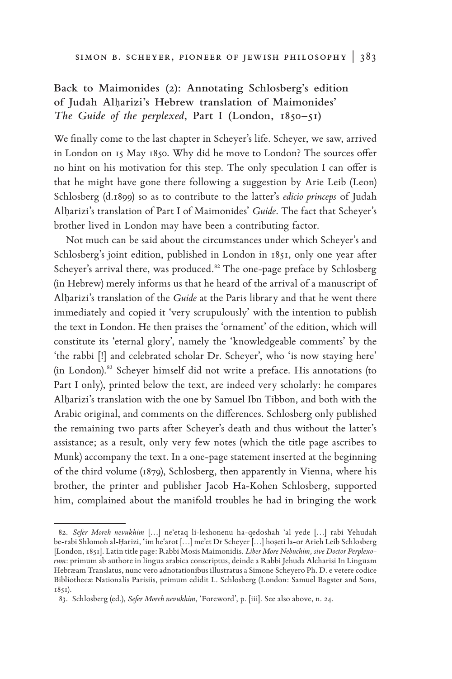# **Back to Maimonides (2): Annotating Schlosberg's edition of Judah Al**ḥ**arizi's Hebrew translation of Maimonides'**  *The Guide of the perplexed***, Part I (London, 1850–51)**

We finally come to the last chapter in Scheyer's life. Scheyer, we saw, arrived in London on 15 May 1850. Why did he move to London? The sources offer no hint on his motivation for this step. The only speculation I can offer is that he might have gone there following a suggestion by Arie Leib (Leon) Schlosberg (d.1899) so as to contribute to the latter's *edicio princeps* of Judah Alḥarizi's translation of Part I of Maimonides' *Guide*. The fact that Scheyer's brother lived in London may have been a contributing factor.

Not much can be said about the circumstances under which Scheyer's and Schlosberg's joint edition, published in London in 1851, only one year after Scheyer's arrival there, was produced.**82** The one-page preface by Schlosberg (in Hebrew) merely informs us that he heard of the arrival of a manuscript of Alharizi's translation of the *Guide* at the Paris library and that he went there immediately and copied it 'very scrupulously' with the intention to publish the text in London. He then praises the 'ornament' of the edition, which will constitute its 'eternal glory', namely the 'knowledgeable comments' by the 'the rabbi [!] and celebrated scholar Dr. Scheyer', who 'is now staying here' (in London).**83** Scheyer himself did not write a preface. His annotations (to Part I only), printed below the text, are indeed very scholarly: he compares Alḥarizi's translation with the one by Samuel Ibn Tibbon, and both with the Arabic original, and comments on the differences. Schlosberg only published the remaining two parts after Scheyer's death and thus without the latter's assistance; as a result, only very few notes (which the title page ascribes to Munk) accompany the text. In a one-page statement inserted at the beginning of the third volume (1879), Schlosberg, then apparently in Vienna, where his brother, the printer and publisher Jacob Ha-Kohen Schlosberg, supported him, complained about the manifold troubles he had in bringing the work

<sup>82.</sup> *Sefer Moreh nevukhim* […] ne'etaq li-leshonenu ha-qedoshah 'al yede […] rabi Yehudah be-rabi Shlomoh al-Ḥarizi, 'im he'arot […] me'et Dr Scheyer […] hoṣeti la-or Arieh Leib Schlosberg [London, 1851]. Latin title page: Rabbi Mosis Maimonidis. *Liber More Nebuchim, sive Doctor Perplexorum*: primum ab authore in lingua arabica conscriptus, deinde a Rabbi Jehuda Alcharisi In Linguam Hebræam Translatus, nunc vero adnotationibus illustratus a Simone Scheyero Ph. D. e vetere codice Bibliothecæ Nationalis Parisiis, primum edidit L. Schlosberg (London: Samuel Bagster and Sons, 1851).

<sup>83.</sup> Schlosberg (ed.), *Sefer Moreh nevukhim*, 'Foreword', p. [iii]. See also above, n. 24.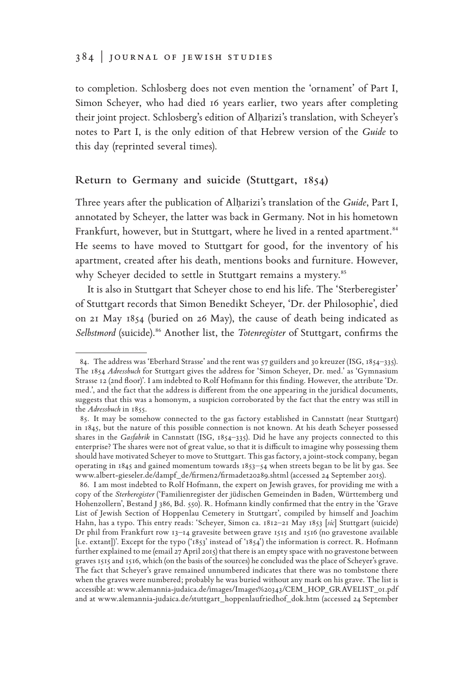### 384 | journal of jewish studies

to completion. Schlosberg does not even mention the 'ornament' of Part I, Simon Scheyer, who had died 16 years earlier, two years after completing their joint project. Schlosberg's edition of Alḥarizi's translation, with Scheyer's notes to Part I, is the only edition of that Hebrew version of the *Guide* to this day (reprinted several times).

### **Return to Germany and suicide (Stuttgart, 1854)**

Three years after the publication of Alḥarizi's translation of the *Guide*, Part I, annotated by Scheyer, the latter was back in Germany. Not in his hometown Frankfurt, however, but in Stuttgart, where he lived in a rented apartment.**<sup>84</sup>** He seems to have moved to Stuttgart for good, for the inventory of his apartment, created after his death, mentions books and furniture. However, why Scheyer decided to settle in Stuttgart remains a mystery.**<sup>85</sup>**

It is also in Stuttgart that Scheyer chose to end his life. The 'Sterberegister' of Stuttgart records that Simon Benedikt Scheyer, 'Dr. der Philosophie', died on 21 May 1854 (buried on 26 May), the cause of death being indicated as *Selbstmord* (suicide).**86** Another list, the *Totenregister* of Stuttgart, confirms the

<sup>84.</sup> The address was 'Eberhard Strasse' and the rent was 57 guilders and 30 kreuzer (ISG, 1854–335). The 1854 *Adressbuch* for Stuttgart gives the address for 'Simon Scheyer, Dr. med.' as 'Gymnasium Strasse 12 (2nd floor)'. I am indebted to Rolf Hofmann for this finding. However, the attribute 'Dr. med.', and the fact that the address is different from the one appearing in the juridical documents, suggests that this was a homonym, a suspicion corroborated by the fact that the entry was still in the *Adressbuch* in 1855.

<sup>85.</sup> It may be somehow connected to the gas factory established in Cannstatt (near Stuttgart) in 1845, but the nature of this possible connection is not known. At his death Scheyer possessed shares in the *Gasfabrik* in Cannstatt (ISG, 1854–335). Did he have any projects connected to this enterprise? The shares were not of great value, so that it is difficult to imagine why possessing them should have motivated Scheyer to move to Stuttgart. This gas factory, a joint-stock company, began operating in 1845 and gained momentum towards  $1853-54$  when streets began to be lit by gas. See www.albert-gieseler.de/dampf\_de/firmen2/firmadet20289.shtml (accessed 24 September 2015).

<sup>86.</sup> I am most indebted to Rolf Hofmann, the expert on Jewish graves, for providing me with a copy of the *Sterberegister* ('Familienregister der jüdischen Gemeinden in Baden, Württemberg und Hohenzollern', Bestand J 386, Bd. 550). R. Hofmann kindly confirmed that the entry in the 'Grave List of Jewish Section of Hoppenlau Cemetery in Stuttgart', compiled by himself and Joachim Hahn, has a typo. This entry reads: 'Scheyer, Simon ca. 1812–21 May 1853 [*sic*] Stuttgart (suicide) Dr phil from Frankfurt row 13–14 gravesite between grave 1515 and 1516 (no gravestone available [i.e. extant])'. Except for the typo ('1853' instead of '1854') the information is correct. R. Hofmann further explained to me (email 27 April 2015) that there is an empty space with no gravestone between graves 1515 and 1516, which (on the basis of the sources) he concluded was the place of Scheyer's grave. The fact that Scheyer's grave remained unnumbered indicates that there was no tombstone there when the graves were numbered; probably he was buried without any mark on his grave. The list is accessible at: www.alemannia-judaica.de/images/Images%20343/CEM\_HOP\_GRAVELIST\_01.pdf and at www.alemannia-judaica.de/stuttgart\_hoppenlaufriedhof\_dok.htm (accessed 24 September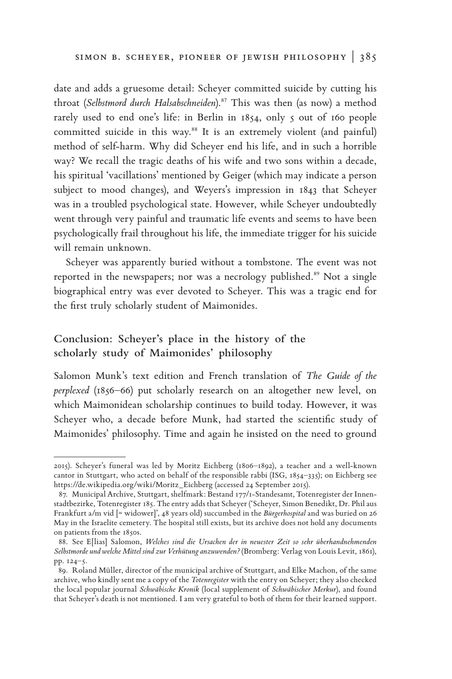date and adds a gruesome detail: Scheyer committed suicide by cutting his throat (*Selbstmord durch Halsabschneiden*).**87** This was then (as now) a method rarely used to end one's life: in Berlin in 1854, only 5 out of 160 people committed suicide in this way.**88** It is an extremely violent (and painful) method of self-harm. Why did Scheyer end his life, and in such a horrible way? We recall the tragic deaths of his wife and two sons within a decade, his spiritual 'vacillations' mentioned by Geiger (which may indicate a person subject to mood changes), and Weyers's impression in 1843 that Scheyer was in a troubled psychological state. However, while Scheyer undoubtedly went through very painful and traumatic life events and seems to have been psychologically frail throughout his life, the immediate trigger for his suicide will remain unknown.

Scheyer was apparently buried without a tombstone. The event was not reported in the newspapers; nor was a necrology published.**89** Not a single biographical entry was ever devoted to Scheyer. This was a tragic end for the first truly scholarly student of Maimonides.

## **Conclusion: Scheyer's place in the history of the scholarly study of Maimonides' philosophy**

Salomon Munk's text edition and French translation of *The Guide of the perplexed* (1856–66) put scholarly research on an altogether new level, on which Maimonidean scholarship continues to build today. However, it was Scheyer who, a decade before Munk, had started the scientific study of Maimonides' philosophy. Time and again he insisted on the need to ground

<sup>2015).</sup> Scheyer's funeral was led by Moritz Eichberg (1806–1892), a teacher and a well-known cantor in Stuttgart, who acted on behalf of the responsible rabbi (ISG, 1854–335); on Eichberg see https://de.wikipedia.org/wiki/Moritz\_Eichberg (accessed 24 September 2015).

<sup>87.</sup> Municipal Archive, Stuttgart, shelfmark: Bestand 177/1-Standesamt, Totenregister der Innenstadtbezirke, Totenregister 185. The entry adds that Scheyer ('Scheyer, Simon Benedikt, Dr. Phil aus Frankfurt a/m vid [= widower]', 48 years old) succumbed in the *Bürgerhospital* and was buried on 26 May in the Israelite cemetery. The hospital still exists, but its archive does not hold any documents on patients from the 1850s.

<sup>88.</sup> See E[lias] Salomon, *Welches sind die Ursachen der in neuester Zeit so sehr überhandnehmenden Selbstmorde und welche Mittel sind zur Verhütung anzuwenden?*(Bromberg: Verlag von Louis Levit, 1861), pp. 124–5.

<sup>89.</sup> Roland Müller, director of the municipal archive of Stuttgart, and Elke Machon, of the same archive, who kindly sent me a copy of the *Totenregister* with the entry on Scheyer; they also checked the local popular journal *Schwäbische Kronik* (local supplement of *Schwäbischer Merkur*), and found that Scheyer's death is not mentioned. I am very grateful to both of them for their learned support.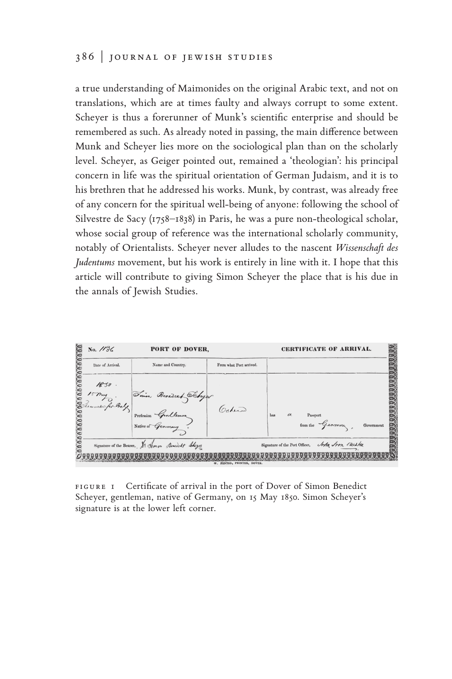### 386 | journal of jewish studies

a true understanding of Maimonides on the original Arabic text, and not on translations, which are at times faulty and always corrupt to some extent. Scheyer is thus a forerunner of Munk's scientific enterprise and should be remembered as such. As already noted in passing, the main difference between Munk and Scheyer lies more on the sociological plan than on the scholarly level. Scheyer, as Geiger pointed out, remained a 'theologian': his principal concern in life was the spiritual orientation of German Judaism, and it is to his brethren that he addressed his works. Munk, by contrast, was already free of any concern for the spiritual well-being of anyone: following the school of Silvestre de Sacy (1758–1838) in Paris, he was a pure non-theological scholar, whose social group of reference was the international scholarly community, notably of Orientalists. Scheyer never alludes to the nascent *Wissenschaft des Judentums* movement, but his work is entirely in line with it. I hope that this article will contribute to giving Simon Scheyer the place that is his due in the annals of Jewish Studies.



FIGURE I Certificate of arrival in the port of Dover of Simon Benedict Scheyer, gentleman, native of Germany, on 15 May 1850. Simon Scheyer's signature is at the lower left corner.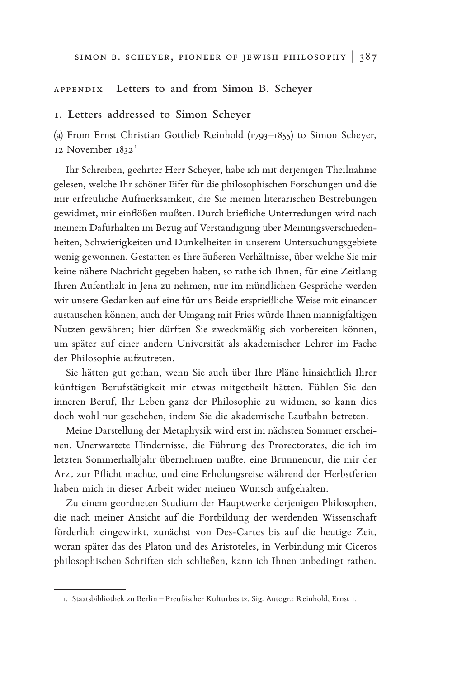#### Appendix **Letters to and from Simon B. Scheyer**

#### **1. Letters addressed to Simon Scheyer**

(a) From Ernst Christian Gottlieb Reinhold (1793–1855) to Simon Scheyer, 12 November 1832 **<sup>190</sup>**

Ihr Schreiben, geehrter Herr Scheyer, habe ich mit derjenigen Theilnahme gelesen, welche Ihr schöner Eifer für die philosophischen Forschungen und die mir erfreuliche Aufmerksamkeit, die Sie meinen literarischen Bestrebungen gewidmet, mir einflößen mußten. Durch briefliche Unterredungen wird nach meinem Dafürhalten im Bezug auf Verständigung über Meinungsverschiedenheiten, Schwierigkeiten und Dunkelheiten in unserem Untersuchungsgebiete wenig gewonnen. Gestatten es Ihre äußeren Verhältnisse, über welche Sie mir keine nähere Nachricht gegeben haben, so rathe ich Ihnen, für eine Zeitlang Ihren Aufenthalt in Jena zu nehmen, nur im mündlichen Gespräche werden wir unsere Gedanken auf eine für uns Beide ersprießliche Weise mit einander austauschen können, auch der Umgang mit Fries würde Ihnen mannigfaltigen Nutzen gewähren; hier dürften Sie zweckmäßig sich vorbereiten können, um später auf einer andern Universität als akademischer Lehrer im Fache der Philosophie aufzutreten.

Sie hätten gut gethan, wenn Sie auch über Ihre Pläne hinsichtlich Ihrer künftigen Berufstätigkeit mir etwas mitgetheilt hätten. Fühlen Sie den inneren Beruf, Ihr Leben ganz der Philosophie zu widmen, so kann dies doch wohl nur geschehen, indem Sie die akademische Laufbahn betreten.

Meine Darstellung der Metaphysik wird erst im nächsten Sommer erscheinen. Unerwartete Hindernisse, die Führung des Prorectorates, die ich im letzten Sommerhalbjahr übernehmen mußte, eine Brunnencur, die mir der Arzt zur Pflicht machte, und eine Erholungsreise während der Herbstferien haben mich in dieser Arbeit wider meinen Wunsch aufgehalten.

Zu einem geordneten Studium der Hauptwerke derjenigen Philosophen, die nach meiner Ansicht auf die Fortbildung der werdenden Wissenschaft förderlich eingewirkt, zunächst von Des-Cartes bis auf die heutige Zeit, woran später das des Platon und des Aristoteles, in Verbindung mit Ciceros philosophischen Schriften sich schließen, kann ich Ihnen unbedingt rathen.

<sup>1.</sup> Staatsbibliothek zu Berlin – Preußischer Kulturbesitz, Sig. Autogr.: Reinhold, Ernst 1.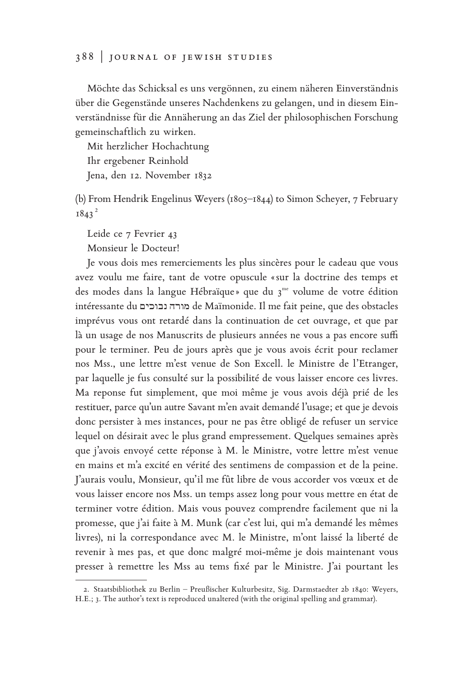Möchte das Schicksal es uns vergönnen, zu einem näheren Einverständnis über die Gegenstände unseres Nachdenkens zu gelangen, und in diesem Einverständnisse für die Annäherung an das Ziel der philosophischen Forschung gemeinschaftlich zu wirken.

Mit herzlicher Hochachtung Ihr ergebener Reinhold Jena, den 12. November 1832

(b) From Hendrik Engelinus Weyers (1805–1844) to Simon Scheyer, 7 February  $1843^2$ 

Leide ce 7 Fevrier 43 Monsieur le Docteur!

Je vous dois mes remerciements les plus sincères pour le cadeau que vous avez voulu me faire, tant de votre opuscule «sur la doctrine des temps et des modes dans la langue Hébraïque» que du 3<sup>me</sup> volume de votre édition intéressante du נבוכים מורה de Maïmonide. Il me fait peine, que des obstacles imprévus vous ont retardé dans la continuation de cet ouvrage, et que par là un usage de nos Manuscrits de plusieurs années ne vous a pas encore suffi pour le terminer. Peu de jours après que je vous avois écrit pour reclamer nos Mss., une lettre m'est venue de Son Excell. le Ministre de l'Etranger, par laquelle je fus consulté sur la possibilité de vous laisser encore ces livres. Ma reponse fut simplement, que moi même je vous avois déjà prié de les restituer, parce qu'un autre Savant m'en avait demandé l'usage; et que je devois donc persister à mes instances, pour ne pas être obligé de refuser un service lequel on désirait avec le plus grand empressement. Quelques semaines après que j'avois envoyé cette réponse à M. le Ministre, votre lettre m'est venue en mains et m'a excité en vérité des sentimens de compassion et de la peine. J'aurais voulu, Monsieur, qu'il me fût libre de vous accorder vos vœux et de vous laisser encore nos Mss. un temps assez long pour vous mettre en état de terminer votre édition. Mais vous pouvez comprendre facilement que ni la promesse, que j'ai faite à M. Munk (car c'est lui, qui m'a demandé les mêmes livres), ni la correspondance avec M. le Ministre, m'ont laissé la liberté de revenir à mes pas, et que donc malgré moi-même je dois maintenant vous presser à remettre les Mss au tems fixé par le Ministre. J'ai pourtant les

<sup>2.</sup> Staatsbibliothek zu Berlin – Preußischer Kulturbesitz, Sig. Darmstaedter 2b 1840: Weyers, H.E.; 3. The author's text is reproduced unaltered (with the original spelling and grammar).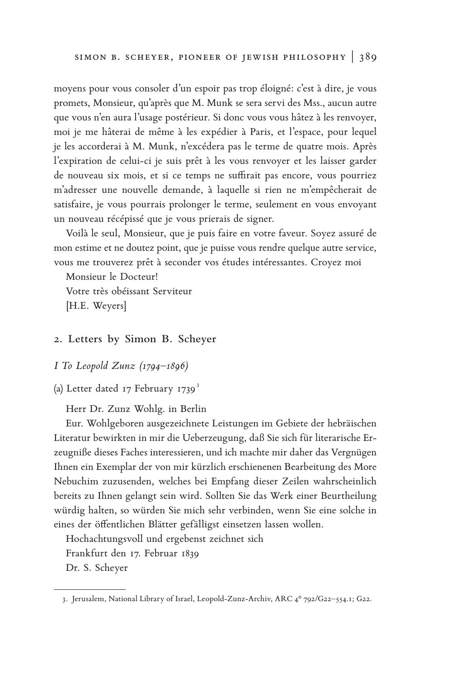moyens pour vous consoler d'un espoir pas trop éloigné: c'est à dire, je vous promets, Monsieur, qu'après que M. Munk se sera servi des Mss., aucun autre que vous n'en aura l'usage postérieur. Si donc vous vous hâtez à les renvoyer, moi je me hâterai de même à les expédier à Paris, et l'espace, pour lequel je les accorderai à M. Munk, n'excédera pas le terme de quatre mois. Après l'expiration de celui-ci je suis prêt à les vous renvoyer et les laisser garder de nouveau six mois, et si ce temps ne suffirait pas encore, vous pourriez m'adresser une nouvelle demande, à laquelle si rien ne m'empêcherait de satisfaire, je vous pourrais prolonger le terme, seulement en vous envoyant un nouveau récépissé que je vous prierais de signer.

Voilà le seul, Monsieur, que je puis faire en votre faveur. Soyez assuré de mon estime et ne doutez point, que je puisse vous rendre quelque autre service, vous me trouverez prêt à seconder vos études intéressantes. Croyez moi

Monsieur le Docteur! Votre très obéissant Serviteur [H.E. Weyers]

### **2. Letters by Simon B. Scheyer**

#### *I To Leopold Zunz (1794–1896)*

(a) Letter dated 17 February 1739<sup>3</sup>

Herr Dr. Zunz Wohlg. in Berlin

Eur. Wohlgeboren ausgezeichnete Leistungen im Gebiete der hebräischen Literatur bewirkten in mir die Ueberzeugung, daß Sie sich für literarische Erzeugniße dieses Faches interessieren, und ich machte mir daher das Vergnügen Ihnen ein Exemplar der von mir kürzlich erschienenen Bearbeitung des More Nebuchim zuzusenden, welches bei Empfang dieser Zeilen wahrscheinlich bereits zu Ihnen gelangt sein wird. Sollten Sie das Werk einer Beurtheilung würdig halten, so würden Sie mich sehr verbinden, wenn Sie eine solche in eines der öffentlichen Blätter gefälligst einsetzen lassen wollen.

Hochachtungsvoll und ergebenst zeichnet sich Frankfurt den 17. Februar 1839 Dr. S. Scheyer

<sup>3.</sup> Jerusalem, National Library of Israel, Leopold-Zunz-Archiv, ARC 4° 792/G22–554.1; G22.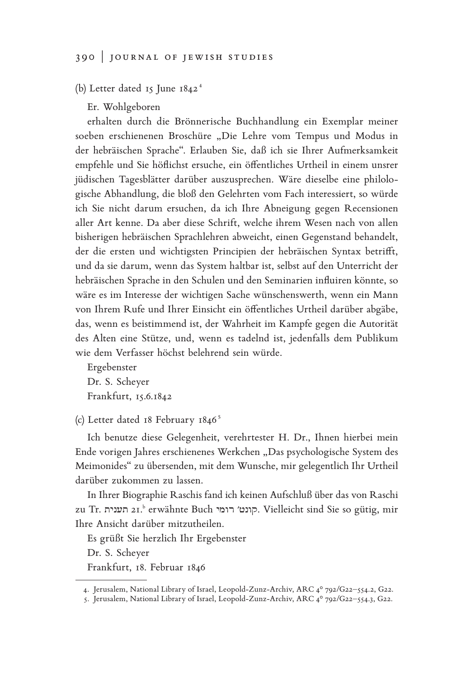(b) Letter dated 15 June 1842<sup>4</sup>

Er. Wohlgeboren

erhalten durch die Brönnerische Buchhandlung ein Exemplar meiner soeben erschienenen Broschüre "Die Lehre vom Tempus und Modus in der hebräischen Sprache". Erlauben Sie, daß ich sie Ihrer Aufmerksamkeit empfehle und Sie höflichst ersuche, ein öffentliches Urtheil in einem unsrer jüdischen Tagesblätter darüber auszusprechen. Wäre dieselbe eine philologische Abhandlung, die bloß den Gelehrten vom Fach interessiert, so würde ich Sie nicht darum ersuchen, da ich Ihre Abneigung gegen Recensionen aller Art kenne. Da aber diese Schrift, welche ihrem Wesen nach von allen bisherigen hebräischen Sprachlehren abweicht, einen Gegenstand behandelt, der die ersten und wichtigsten Principien der hebräischen Syntax betrifft, und da sie darum, wenn das System haltbar ist, selbst auf den Unterricht der hebräischen Sprache in den Schulen und den Seminarien influiren könnte, so wäre es im Interesse der wichtigen Sache wünschenswerth, wenn ein Mann von Ihrem Rufe und Ihrer Einsicht ein öffentliches Urtheil darüber abgäbe, das, wenn es beistimmend ist, der Wahrheit im Kampfe gegen die Autorität des Alten eine Stütze, und, wenn es tadelnd ist, jedenfalls dem Publikum wie dem Verfasser höchst belehrend sein würde.

Ergebenster Dr. S. Scheyer Frankfurt, 15.6.1842

(c) Letter dated 18 February 1846<sup>5</sup>

Ich benutze diese Gelegenheit, verehrtester H. Dr., Ihnen hierbei mein Ende vorigen Jahres erschienenes Werkchen "Das psychologische System des Meimonides" zu übersenden, mit dem Wunsche, mir gelegentlich Ihr Urtheil darüber zukommen zu lassen.

In Ihrer Biographie Raschis fand ich keinen Aufschluß über das von Raschi zu Tr. תענית 21.b erwähnte Buch רומי ′קונט. Vielleicht sind Sie so gütig, mir Ihre Ansicht darüber mitzutheilen.

Es grüßt Sie herzlich Ihr Ergebenster

Dr. S. Scheyer

Frankfurt, 18. Februar 1846

<sup>4.</sup> Jerusalem, National Library of Israel, Leopold-Zunz-Archiv, ARC 4° 792/G22–554.2, G22.

<sup>5.</sup> Jerusalem, National Library of Israel, Leopold-Zunz-Archiv, ARC 4° 792/G22–554.3, G22.